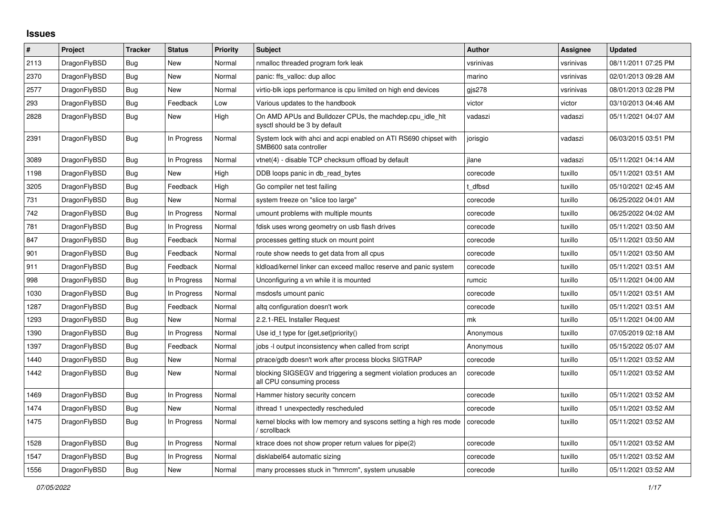## **Issues**

| $\vert$ # | Project      | Tracker    | <b>Status</b> | <b>Priority</b> | <b>Subject</b>                                                                               | <b>Author</b> | Assignee  | <b>Updated</b>      |
|-----------|--------------|------------|---------------|-----------------|----------------------------------------------------------------------------------------------|---------------|-----------|---------------------|
| 2113      | DragonFlyBSD | Bug        | New           | Normal          | nmalloc threaded program fork leak                                                           | vsrinivas     | vsrinivas | 08/11/2011 07:25 PM |
| 2370      | DragonFlyBSD | Bug        | <b>New</b>    | Normal          | panic: ffs valloc: dup alloc                                                                 | marino        | vsrinivas | 02/01/2013 09:28 AM |
| 2577      | DragonFlyBSD | Bug        | New           | Normal          | virtio-blk iops performance is cpu limited on high end devices                               | gis278        | vsrinivas | 08/01/2013 02:28 PM |
| 293       | DragonFlyBSD | Bug        | Feedback      | Low             | Various updates to the handbook                                                              | victor        | victor    | 03/10/2013 04:46 AM |
| 2828      | DragonFlyBSD | Bug        | New           | High            | On AMD APUs and Bulldozer CPUs, the machdep.cpu idle hit<br>sysctl should be 3 by default    | vadaszi       | vadaszi   | 05/11/2021 04:07 AM |
| 2391      | DragonFlyBSD | Bug        | In Progress   | Normal          | System lock with ahci and acpi enabled on ATI RS690 chipset with<br>SMB600 sata controller   | jorisgio      | vadaszi   | 06/03/2015 03:51 PM |
| 3089      | DragonFlyBSD | Bug        | In Progress   | Normal          | vtnet(4) - disable TCP checksum offload by default                                           | ilane         | vadaszi   | 05/11/2021 04:14 AM |
| 1198      | DragonFlyBSD | Bug        | New           | High            | DDB loops panic in db read bytes                                                             | corecode      | tuxillo   | 05/11/2021 03:51 AM |
| 3205      | DragonFlyBSD | Bug        | Feedback      | High            | Go compiler net test failing                                                                 | t dfbsd       | tuxillo   | 05/10/2021 02:45 AM |
| 731       | DragonFlyBSD | Bug        | New           | Normal          | system freeze on "slice too large"                                                           | corecode      | tuxillo   | 06/25/2022 04:01 AM |
| 742       | DragonFlyBSD | <b>Bug</b> | In Progress   | Normal          | umount problems with multiple mounts                                                         | corecode      | tuxillo   | 06/25/2022 04:02 AM |
| 781       | DragonFlyBSD | Bug        | In Progress   | Normal          | fdisk uses wrong geometry on usb flash drives                                                | corecode      | tuxillo   | 05/11/2021 03:50 AM |
| 847       | DragonFlyBSD | <b>Bug</b> | Feedback      | Normal          | processes getting stuck on mount point                                                       | corecode      | tuxillo   | 05/11/2021 03:50 AM |
| 901       | DragonFlyBSD | Bug        | Feedback      | Normal          | route show needs to get data from all cpus                                                   | corecode      | tuxillo   | 05/11/2021 03:50 AM |
| 911       | DragonFlyBSD | <b>Bug</b> | Feedback      | Normal          | kldload/kernel linker can exceed malloc reserve and panic system                             | corecode      | tuxillo   | 05/11/2021 03:51 AM |
| 998       | DragonFlyBSD | <b>Bug</b> | In Progress   | Normal          | Unconfiguring a vn while it is mounted                                                       | rumcic        | tuxillo   | 05/11/2021 04:00 AM |
| 1030      | DragonFlyBSD | <b>Bug</b> | In Progress   | Normal          | msdosfs umount panic                                                                         | corecode      | tuxillo   | 05/11/2021 03:51 AM |
| 1287      | DragonFlyBSD | Bug        | Feedback      | Normal          | altg configuration doesn't work                                                              | corecode      | tuxillo   | 05/11/2021 03:51 AM |
| 1293      | DragonFlyBSD | Bug        | <b>New</b>    | Normal          | 2.2.1-REL Installer Request                                                                  | mk            | tuxillo   | 05/11/2021 04:00 AM |
| 1390      | DragonFlyBSD | Bug        | In Progress   | Normal          | Use id_t type for {get,set}priority()                                                        | Anonymous     | tuxillo   | 07/05/2019 02:18 AM |
| 1397      | DragonFlyBSD | <b>Bug</b> | Feedback      | Normal          | jobs -I output inconsistency when called from script                                         | Anonymous     | tuxillo   | 05/15/2022 05:07 AM |
| 1440      | DragonFlyBSD | Bug        | New           | Normal          | ptrace/gdb doesn't work after process blocks SIGTRAP                                         | corecode      | tuxillo   | 05/11/2021 03:52 AM |
| 1442      | DragonFlyBSD | Bug        | <b>New</b>    | Normal          | blocking SIGSEGV and triggering a segment violation produces an<br>all CPU consuming process | corecode      | tuxillo   | 05/11/2021 03:52 AM |
| 1469      | DragonFlyBSD | Bug        | In Progress   | Normal          | Hammer history security concern                                                              | corecode      | tuxillo   | 05/11/2021 03:52 AM |
| 1474      | DragonFlyBSD | Bug        | New           | Normal          | ithread 1 unexpectedly rescheduled                                                           | corecode      | tuxillo   | 05/11/2021 03:52 AM |
| 1475      | DragonFlyBSD | <b>Bug</b> | In Progress   | Normal          | kernel blocks with low memory and syscons setting a high res mode<br>/ scrollback            | corecode      | tuxillo   | 05/11/2021 03:52 AM |
| 1528      | DragonFlyBSD | <b>Bug</b> | In Progress   | Normal          | ktrace does not show proper return values for pipe(2)                                        | corecode      | tuxillo   | 05/11/2021 03:52 AM |
| 1547      | DragonFlyBSD | <b>Bug</b> | In Progress   | Normal          | disklabel64 automatic sizing                                                                 | corecode      | tuxillo   | 05/11/2021 03:52 AM |
| 1556      | DragonFlyBSD | Bug        | New           | Normal          | many processes stuck in "hmrrcm", system unusable                                            | corecode      | tuxillo   | 05/11/2021 03:52 AM |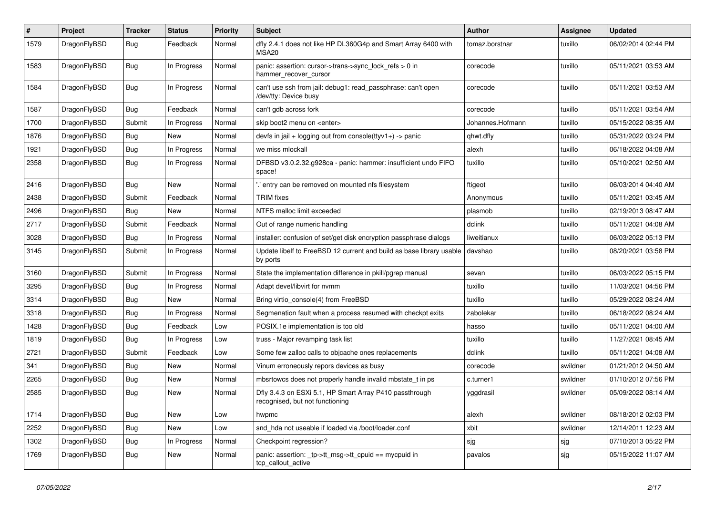| $\sharp$ | Project      | <b>Tracker</b> | <b>Status</b> | <b>Priority</b> | Subject                                                                                    | <b>Author</b>    | Assignee | <b>Updated</b>      |
|----------|--------------|----------------|---------------|-----------------|--------------------------------------------------------------------------------------------|------------------|----------|---------------------|
| 1579     | DragonFlyBSD | Bug            | Feedback      | Normal          | dfly 2.4.1 does not like HP DL360G4p and Smart Array 6400 with<br><b>MSA20</b>             | tomaz.borstnar   | tuxillo  | 06/02/2014 02:44 PM |
| 1583     | DragonFlyBSD | Bug            | In Progress   | Normal          | panic: assertion: cursor->trans->sync_lock_refs > 0 in<br>hammer_recover_cursor            | corecode         | tuxillo  | 05/11/2021 03:53 AM |
| 1584     | DragonFlyBSD | <b>Bug</b>     | In Progress   | Normal          | can't use ssh from jail: debug1: read passphrase: can't open<br>/dev/tty: Device busy      | corecode         | tuxillo  | 05/11/2021 03:53 AM |
| 1587     | DragonFlyBSD | Bug            | Feedback      | Normal          | can't gdb across fork                                                                      | corecode         | tuxillo  | 05/11/2021 03:54 AM |
| 1700     | DragonFlyBSD | Submit         | In Progress   | Normal          | skip boot2 menu on <enter></enter>                                                         | Johannes.Hofmann | tuxillo  | 05/15/2022 08:35 AM |
| 1876     | DragonFlyBSD | <b>Bug</b>     | New           | Normal          | devfs in jail + logging out from console(ttyv1+) -> panic                                  | qhwt.dfly        | tuxillo  | 05/31/2022 03:24 PM |
| 1921     | DragonFlyBSD | <b>Bug</b>     | In Progress   | Normal          | we miss mlockall                                                                           | alexh            | tuxillo  | 06/18/2022 04:08 AM |
| 2358     | DragonFlyBSD | <b>Bug</b>     | In Progress   | Normal          | DFBSD v3.0.2.32.g928ca - panic: hammer: insufficient undo FIFO<br>space!                   | tuxillo          | tuxillo  | 05/10/2021 02:50 AM |
| 2416     | DragonFlyBSD | <b>Bug</b>     | <b>New</b>    | Normal          | ' entry can be removed on mounted nfs filesystem                                           | ftigeot          | tuxillo  | 06/03/2014 04:40 AM |
| 2438     | DragonFlyBSD | Submit         | Feedback      | Normal          | <b>TRIM</b> fixes                                                                          | Anonymous        | tuxillo  | 05/11/2021 03:45 AM |
| 2496     | DragonFlyBSD | Bug            | <b>New</b>    | Normal          | NTFS malloc limit exceeded                                                                 | plasmob          | tuxillo  | 02/19/2013 08:47 AM |
| 2717     | DragonFlyBSD | Submit         | Feedback      | Normal          | Out of range numeric handling                                                              | dclink           | tuxillo  | 05/11/2021 04:08 AM |
| 3028     | DragonFlyBSD | Bug            | In Progress   | Normal          | installer: confusion of set/get disk encryption passphrase dialogs                         | liweitianux      | tuxillo  | 06/03/2022 05:13 PM |
| 3145     | DragonFlyBSD | Submit         | In Progress   | Normal          | Update libelf to FreeBSD 12 current and build as base library usable<br>by ports           | davshao          | tuxillo  | 08/20/2021 03:58 PM |
| 3160     | DragonFlyBSD | Submit         | In Progress   | Normal          | State the implementation difference in pkill/pgrep manual                                  | sevan            | tuxillo  | 06/03/2022 05:15 PM |
| 3295     | DragonFlyBSD | <b>Bug</b>     | In Progress   | Normal          | Adapt devel/libvirt for nvmm                                                               | tuxillo          | tuxillo  | 11/03/2021 04:56 PM |
| 3314     | DragonFlyBSD | <b>Bug</b>     | New           | Normal          | Bring virtio_console(4) from FreeBSD                                                       | tuxillo          | tuxillo  | 05/29/2022 08:24 AM |
| 3318     | DragonFlyBSD | <b>Bug</b>     | In Progress   | Normal          | Segmenation fault when a process resumed with checkpt exits                                | zabolekar        | tuxillo  | 06/18/2022 08:24 AM |
| 1428     | DragonFlyBSD | <b>Bug</b>     | Feedback      | Low             | POSIX.1e implementation is too old                                                         | hasso            | tuxillo  | 05/11/2021 04:00 AM |
| 1819     | DragonFlyBSD | <b>Bug</b>     | In Progress   | Low             | truss - Major revamping task list                                                          | tuxillo          | tuxillo  | 11/27/2021 08:45 AM |
| 2721     | DragonFlyBSD | Submit         | Feedback      | Low             | Some few zalloc calls to objcache ones replacements                                        | dclink           | tuxillo  | 05/11/2021 04:08 AM |
| 341      | DragonFlyBSD | <b>Bug</b>     | New           | Normal          | Vinum erroneously repors devices as busy                                                   | corecode         | swildner | 01/21/2012 04:50 AM |
| 2265     | DragonFlyBSD | <b>Bug</b>     | <b>New</b>    | Normal          | mbsrtowcs does not properly handle invalid mbstate_t in ps                                 | c.turner1        | swildner | 01/10/2012 07:56 PM |
| 2585     | DragonFlyBSD | <b>Bug</b>     | New           | Normal          | Dfly 3.4.3 on ESXi 5.1, HP Smart Array P410 passthrough<br>recognised, but not functioning | yggdrasil        | swildner | 05/09/2022 08:14 AM |
| 1714     | DragonFlyBSD | <b>Bug</b>     | New           | Low             | hwpmc                                                                                      | alexh            | swildner | 08/18/2012 02:03 PM |
| 2252     | DragonFlyBSD | Bug            | New           | Low             | snd_hda not useable if loaded via /boot/loader.conf                                        | xbit             | swildner | 12/14/2011 12:23 AM |
| 1302     | DragonFlyBSD | <b>Bug</b>     | In Progress   | Normal          | Checkpoint regression?                                                                     | sjg              | sjg      | 07/10/2013 05:22 PM |
| 1769     | DragonFlyBSD | <b>Bug</b>     | New           | Normal          | panic: assertion: _tp->tt_msg->tt_cpuid == mycpuid in<br>tcp_callout_active                | pavalos          | sjg      | 05/15/2022 11:07 AM |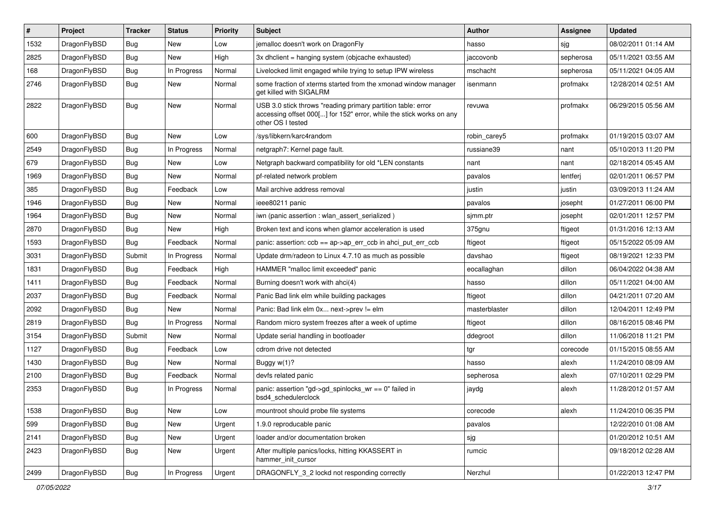| #    | Project      | <b>Tracker</b> | <b>Status</b> | <b>Priority</b> | <b>Subject</b>                                                                                                                                           | Author        | Assignee  | <b>Updated</b>      |
|------|--------------|----------------|---------------|-----------------|----------------------------------------------------------------------------------------------------------------------------------------------------------|---------------|-----------|---------------------|
| 1532 | DragonFlyBSD | Bug            | <b>New</b>    | Low             | jemalloc doesn't work on DragonFly                                                                                                                       | hasso         | sjg       | 08/02/2011 01:14 AM |
| 2825 | DragonFlyBSD | <b>Bug</b>     | <b>New</b>    | High            | 3x dhclient = hanging system (objcache exhausted)                                                                                                        | jaccovonb     | sepherosa | 05/11/2021 03:55 AM |
| 168  | DragonFlyBSD | <b>Bug</b>     | In Progress   | Normal          | Livelocked limit engaged while trying to setup IPW wireless                                                                                              | mschacht      | sepherosa | 05/11/2021 04:05 AM |
| 2746 | DragonFlyBSD | <b>Bug</b>     | New           | Normal          | some fraction of xterms started from the xmonad window manager<br>get killed with SIGALRM                                                                | isenmann      | profmakx  | 12/28/2014 02:51 AM |
| 2822 | DragonFlyBSD | Bug            | <b>New</b>    | Normal          | USB 3.0 stick throws "reading primary partition table: error<br>accessing offset 000[] for 152" error, while the stick works on any<br>other OS I tested | revuwa        | profmakx  | 06/29/2015 05:56 AM |
| 600  | DragonFlyBSD | <b>Bug</b>     | New           | Low             | /sys/libkern/karc4random                                                                                                                                 | robin carey5  | profmakx  | 01/19/2015 03:07 AM |
| 2549 | DragonFlyBSD | <b>Bug</b>     | In Progress   | Normal          | netgraph7: Kernel page fault.                                                                                                                            | russiane39    | nant      | 05/10/2013 11:20 PM |
| 679  | DragonFlyBSD | <b>Bug</b>     | <b>New</b>    | Low             | Netgraph backward compatibility for old *LEN constants                                                                                                   | nant          | nant      | 02/18/2014 05:45 AM |
| 1969 | DragonFlyBSD | <b>Bug</b>     | <b>New</b>    | Normal          | pf-related network problem                                                                                                                               | pavalos       | lentferj  | 02/01/2011 06:57 PM |
| 385  | DragonFlyBSD | <b>Bug</b>     | Feedback      | Low             | Mail archive address removal                                                                                                                             | justin        | justin    | 03/09/2013 11:24 AM |
| 1946 | DragonFlyBSD | <b>Bug</b>     | New           | Normal          | ieee80211 panic                                                                                                                                          | pavalos       | josepht   | 01/27/2011 06:00 PM |
| 1964 | DragonFlyBSD | Bug            | <b>New</b>    | Normal          | iwn (panic assertion : wlan assert serialized)                                                                                                           | sjmm.ptr      | josepht   | 02/01/2011 12:57 PM |
| 2870 | DragonFlyBSD | Bug            | <b>New</b>    | High            | Broken text and icons when glamor acceleration is used                                                                                                   | 375gnu        | ftigeot   | 01/31/2016 12:13 AM |
| 1593 | DragonFlyBSD | <b>Bug</b>     | Feedback      | Normal          | panic: assertion: ccb == ap->ap_err_ccb in ahci_put_err_ccb                                                                                              | ftigeot       | ftigeot   | 05/15/2022 05:09 AM |
| 3031 | DragonFlyBSD | Submit         | In Progress   | Normal          | Update drm/radeon to Linux 4.7.10 as much as possible                                                                                                    | davshao       | ftigeot   | 08/19/2021 12:33 PM |
| 1831 | DragonFlyBSD | Bug            | Feedback      | High            | HAMMER "malloc limit exceeded" panic                                                                                                                     | eocallaghan   | dillon    | 06/04/2022 04:38 AM |
| 1411 | DragonFlyBSD | Bug            | Feedback      | Normal          | Burning doesn't work with ahci(4)                                                                                                                        | hasso         | dillon    | 05/11/2021 04:00 AM |
| 2037 | DragonFlyBSD | <b>Bug</b>     | Feedback      | Normal          | Panic Bad link elm while building packages                                                                                                               | ftigeot       | dillon    | 04/21/2011 07:20 AM |
| 2092 | DragonFlyBSD | <b>Bug</b>     | <b>New</b>    | Normal          | Panic: Bad link elm 0x next->prev != elm                                                                                                                 | masterblaster | dillon    | 12/04/2011 12:49 PM |
| 2819 | DragonFlyBSD | <b>Bug</b>     | In Progress   | Normal          | Random micro system freezes after a week of uptime                                                                                                       | ftigeot       | dillon    | 08/16/2015 08:46 PM |
| 3154 | DragonFlyBSD | Submit         | New           | Normal          | Update serial handling in bootloader                                                                                                                     | ddegroot      | dillon    | 11/06/2018 11:21 PM |
| 1127 | DragonFlyBSD | Bug            | Feedback      | Low             | cdrom drive not detected                                                                                                                                 | tgr           | corecode  | 01/15/2015 08:55 AM |
| 1430 | DragonFlyBSD | <b>Bug</b>     | <b>New</b>    | Normal          | Buggy $w(1)$ ?                                                                                                                                           | hasso         | alexh     | 11/24/2010 08:09 AM |
| 2100 | DragonFlyBSD | <b>Bug</b>     | Feedback      | Normal          | devfs related panic                                                                                                                                      | sepherosa     | alexh     | 07/10/2011 02:29 PM |
| 2353 | DragonFlyBSD | Bug            | In Progress   | Normal          | panic: assertion "gd->gd_spinlocks_wr == 0" failed in<br>bsd4 schedulerclock                                                                             | jaydg         | alexh     | 11/28/2012 01:57 AM |
| 1538 | DragonFlyBSD | <b>Bug</b>     | New           | Low             | mountroot should probe file systems                                                                                                                      | corecode      | alexh     | 11/24/2010 06:35 PM |
| 599  | DragonFlyBSD | <b>Bug</b>     | New           | Urgent          | 1.9.0 reproducable panic                                                                                                                                 | pavalos       |           | 12/22/2010 01:08 AM |
| 2141 | DragonFlyBSD | <b>Bug</b>     | New           | Urgent          | loader and/or documentation broken                                                                                                                       | sjg           |           | 01/20/2012 10:51 AM |
| 2423 | DragonFlyBSD | <b>Bug</b>     | New           | Urgent          | After multiple panics/locks, hitting KKASSERT in<br>hammer_init_cursor                                                                                   | rumcic        |           | 09/18/2012 02:28 AM |
| 2499 | DragonFlyBSD | Bug            | In Progress   | Urgent          | DRAGONFLY_3_2 lockd not responding correctly                                                                                                             | Nerzhul       |           | 01/22/2013 12:47 PM |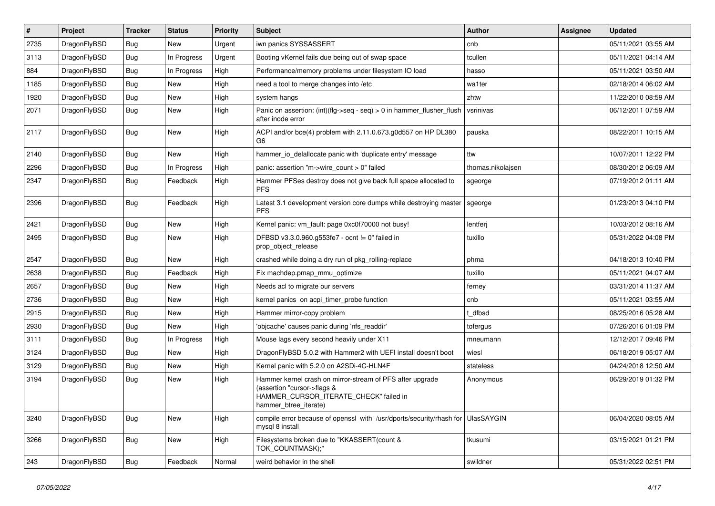| $\#$ | <b>Project</b> | <b>Tracker</b> | <b>Status</b> | <b>Priority</b> | <b>Subject</b>                                                                                                                                              | <b>Author</b>     | <b>Assignee</b> | <b>Updated</b>      |
|------|----------------|----------------|---------------|-----------------|-------------------------------------------------------------------------------------------------------------------------------------------------------------|-------------------|-----------------|---------------------|
| 2735 | DragonFlyBSD   | <b>Bug</b>     | <b>New</b>    | Urgent          | iwn panics SYSSASSERT                                                                                                                                       | cnb               |                 | 05/11/2021 03:55 AM |
| 3113 | DragonFlyBSD   | <b>Bug</b>     | In Progress   | Urgent          | Booting vKernel fails due being out of swap space                                                                                                           | tcullen           |                 | 05/11/2021 04:14 AM |
| 884  | DragonFlyBSD   | Bug            | In Progress   | High            | Performance/memory problems under filesystem IO load                                                                                                        | hasso             |                 | 05/11/2021 03:50 AM |
| 1185 | DragonFlyBSD   | Bug            | New           | High            | need a tool to merge changes into /etc                                                                                                                      | wa1ter            |                 | 02/18/2014 06:02 AM |
| 1920 | DragonFlyBSD   | Bug            | <b>New</b>    | High            | system hangs                                                                                                                                                | zhtw              |                 | 11/22/2010 08:59 AM |
| 2071 | DragonFlyBSD   | Bug            | New           | High            | Panic on assertion: $(int)(flg->seq - seq) > 0$ in hammer flusher flush<br>after inode error                                                                | vsrinivas         |                 | 06/12/2011 07:59 AM |
| 2117 | DragonFlyBSD   | <b>Bug</b>     | <b>New</b>    | High            | ACPI and/or bce(4) problem with 2.11.0.673.g0d557 on HP DL380<br>G <sub>6</sub>                                                                             | pauska            |                 | 08/22/2011 10:15 AM |
| 2140 | DragonFlyBSD   | <b>Bug</b>     | New           | High            | hammer io delallocate panic with 'duplicate entry' message                                                                                                  | ttw               |                 | 10/07/2011 12:22 PM |
| 2296 | DragonFlyBSD   | <b>Bug</b>     | In Progress   | High            | panic: assertion "m->wire count > 0" failed                                                                                                                 | thomas.nikolajsen |                 | 08/30/2012 06:09 AM |
| 2347 | DragonFlyBSD   | Bug            | Feedback      | High            | Hammer PFSes destroy does not give back full space allocated to<br><b>PFS</b>                                                                               | sgeorge           |                 | 07/19/2012 01:11 AM |
| 2396 | DragonFlyBSD   | Bug            | Feedback      | High            | Latest 3.1 development version core dumps while destroying master<br><b>PFS</b>                                                                             | sgeorge           |                 | 01/23/2013 04:10 PM |
| 2421 | DragonFlyBSD   | <b>Bug</b>     | <b>New</b>    | High            | Kernel panic: vm fault: page 0xc0f70000 not busy!                                                                                                           | lentferj          |                 | 10/03/2012 08:16 AM |
| 2495 | DragonFlyBSD   | <b>Bug</b>     | New           | High            | DFBSD v3.3.0.960.g553fe7 - ocnt != 0" failed in<br>prop_object_release                                                                                      | tuxillo           |                 | 05/31/2022 04:08 PM |
| 2547 | DragonFlyBSD   | <b>Bug</b>     | <b>New</b>    | High            | crashed while doing a dry run of pkg rolling-replace                                                                                                        | phma              |                 | 04/18/2013 10:40 PM |
| 2638 | DragonFlyBSD   | Bug            | Feedback      | High            | Fix machdep.pmap_mmu_optimize                                                                                                                               | tuxillo           |                 | 05/11/2021 04:07 AM |
| 2657 | DragonFlyBSD   | Bug            | <b>New</b>    | High            | Needs acl to migrate our servers                                                                                                                            | ferney            |                 | 03/31/2014 11:37 AM |
| 2736 | DragonFlyBSD   | <b>Bug</b>     | <b>New</b>    | High            | kernel panics on acpi_timer_probe function                                                                                                                  | cnb               |                 | 05/11/2021 03:55 AM |
| 2915 | DragonFlyBSD   | Bug            | <b>New</b>    | High            | Hammer mirror-copy problem                                                                                                                                  | t dfbsd           |                 | 08/25/2016 05:28 AM |
| 2930 | DragonFlyBSD   | Bug            | New           | High            | 'objcache' causes panic during 'nfs_readdir'                                                                                                                | tofergus          |                 | 07/26/2016 01:09 PM |
| 3111 | DragonFlyBSD   | Bug            | In Progress   | High            | Mouse lags every second heavily under X11                                                                                                                   | mneumann          |                 | 12/12/2017 09:46 PM |
| 3124 | DragonFlyBSD   | Bug            | New           | High            | DragonFlyBSD 5.0.2 with Hammer2 with UEFI install doesn't boot                                                                                              | wiesl             |                 | 06/18/2019 05:07 AM |
| 3129 | DragonFlyBSD   | Bug            | New           | High            | Kernel panic with 5.2.0 on A2SDi-4C-HLN4F                                                                                                                   | stateless         |                 | 04/24/2018 12:50 AM |
| 3194 | DragonFlyBSD   | Bug            | New           | High            | Hammer kernel crash on mirror-stream of PFS after upgrade<br>(assertion "cursor->flags &<br>HAMMER_CURSOR_ITERATE_CHECK" failed in<br>hammer btree iterate) | Anonymous         |                 | 06/29/2019 01:32 PM |
| 3240 | DragonFlyBSD   | <b>Bug</b>     | <b>New</b>    | High            | compile error because of openssl with /usr/dports/security/rhash for<br>mysql 8 install                                                                     | <b>UlasSAYGIN</b> |                 | 06/04/2020 08:05 AM |
| 3266 | DragonFlyBSD   | Bug            | <b>New</b>    | High            | Filesystems broken due to "KKASSERT(count &<br>TOK COUNTMASK);"                                                                                             | tkusumi           |                 | 03/15/2021 01:21 PM |
| 243  | DragonFlyBSD   | Bug            | Feedback      | Normal          | weird behavior in the shell                                                                                                                                 | swildner          |                 | 05/31/2022 02:51 PM |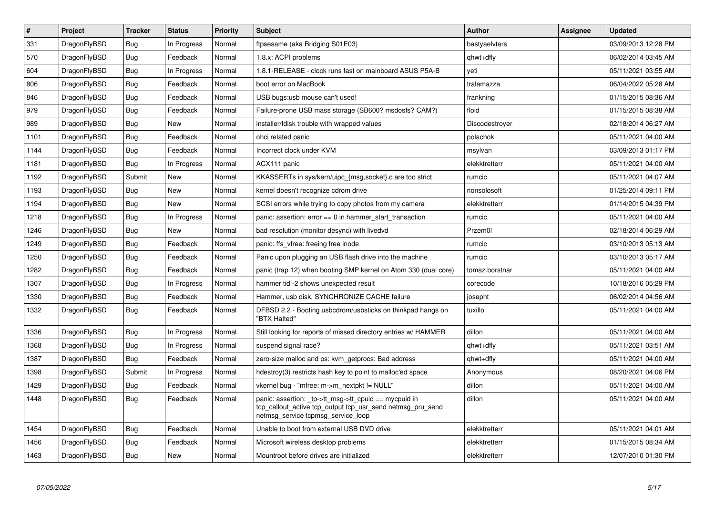| $\#$ | <b>Project</b> | <b>Tracker</b> | <b>Status</b> | Priority | <b>Subject</b>                                                                                                                                           | <b>Author</b>  | Assignee | <b>Updated</b>      |
|------|----------------|----------------|---------------|----------|----------------------------------------------------------------------------------------------------------------------------------------------------------|----------------|----------|---------------------|
| 331  | DragonFlyBSD   | Bug            | In Progress   | Normal   | ftpsesame (aka Bridging S01E03)                                                                                                                          | bastyaelvtars  |          | 03/09/2013 12:28 PM |
| 570  | DragonFlyBSD   | Bug            | Feedback      | Normal   | 1.8.x: ACPI problems                                                                                                                                     | qhwt+dfly      |          | 06/02/2014 03:45 AM |
| 604  | DragonFlyBSD   | <b>Bug</b>     | In Progress   | Normal   | 1.8.1-RELEASE - clock runs fast on mainboard ASUS P5A-B                                                                                                  | yeti           |          | 05/11/2021 03:55 AM |
| 806  | DragonFlyBSD   | Bug            | Feedback      | Normal   | boot error on MacBook                                                                                                                                    | tralamazza     |          | 06/04/2022 05:28 AM |
| 846  | DragonFlyBSD   | Bug            | Feedback      | Normal   | USB bugs:usb mouse can't used!                                                                                                                           | frankning      |          | 01/15/2015 08:36 AM |
| 979  | DragonFlyBSD   | Bug            | Feedback      | Normal   | Failure-prone USB mass storage (SB600? msdosfs? CAM?)                                                                                                    | floid          |          | 01/15/2015 08:38 AM |
| 989  | DragonFlyBSD   | Bug            | New           | Normal   | installer/fdisk trouble with wrapped values                                                                                                              | Discodestroyer |          | 02/18/2014 06:27 AM |
| 1101 | DragonFlyBSD   | <b>Bug</b>     | Feedback      | Normal   | ohci related panic                                                                                                                                       | polachok       |          | 05/11/2021 04:00 AM |
| 1144 | DragonFlyBSD   | Bug            | Feedback      | Normal   | Incorrect clock under KVM                                                                                                                                | msylvan        |          | 03/09/2013 01:17 PM |
| 1181 | DragonFlyBSD   | <b>Bug</b>     | In Progress   | Normal   | ACX111 panic                                                                                                                                             | elekktretterr  |          | 05/11/2021 04:00 AM |
| 1192 | DragonFlyBSD   | Submit         | New           | Normal   | KKASSERTs in sys/kern/uipc {msg,socket}.c are too strict                                                                                                 | rumcic         |          | 05/11/2021 04:07 AM |
| 1193 | DragonFlyBSD   | <b>Bug</b>     | <b>New</b>    | Normal   | kernel doesn't recognize cdrom drive                                                                                                                     | nonsolosoft    |          | 01/25/2014 09:11 PM |
| 1194 | DragonFlyBSD   | <b>Bug</b>     | New           | Normal   | SCSI errors while trying to copy photos from my camera                                                                                                   | elekktretterr  |          | 01/14/2015 04:39 PM |
| 1218 | DragonFlyBSD   | <b>Bug</b>     | In Progress   | Normal   | panic: assertion: $error == 0$ in hammer start transaction                                                                                               | rumcic         |          | 05/11/2021 04:00 AM |
| 1246 | DragonFlyBSD   | Bug            | New           | Normal   | bad resolution (monitor desync) with livedvd                                                                                                             | Przem0l        |          | 02/18/2014 06:29 AM |
| 1249 | DragonFlyBSD   | <b>Bug</b>     | Feedback      | Normal   | panic: ffs vfree: freeing free inode                                                                                                                     | rumcic         |          | 03/10/2013 05:13 AM |
| 1250 | DragonFlyBSD   | <b>Bug</b>     | Feedback      | Normal   | Panic upon plugging an USB flash drive into the machine                                                                                                  | rumcic         |          | 03/10/2013 05:17 AM |
| 1282 | DragonFlyBSD   | <b>Bug</b>     | Feedback      | Normal   | panic (trap 12) when booting SMP kernel on Atom 330 (dual core)                                                                                          | tomaz.borstnar |          | 05/11/2021 04:00 AM |
| 1307 | DragonFlyBSD   | Bug            | In Progress   | Normal   | hammer tid -2 shows unexpected result                                                                                                                    | corecode       |          | 10/18/2016 05:29 PM |
| 1330 | DragonFlyBSD   | Bug            | Feedback      | Normal   | Hammer, usb disk, SYNCHRONIZE CACHE failure                                                                                                              | josepht        |          | 06/02/2014 04:56 AM |
| 1332 | DragonFlyBSD   | <b>Bug</b>     | Feedback      | Normal   | DFBSD 2.2 - Booting usbcdrom/usbsticks on thinkpad hangs on<br>"BTX Halted"                                                                              | tuxillo        |          | 05/11/2021 04:00 AM |
| 1336 | DragonFlyBSD   | <b>Bug</b>     | In Progress   | Normal   | Still looking for reports of missed directory entries w/ HAMMER                                                                                          | dillon         |          | 05/11/2021 04:00 AM |
| 1368 | DragonFlyBSD   | Bug            | In Progress   | Normal   | suspend signal race?                                                                                                                                     | qhwt+dfly      |          | 05/11/2021 03:51 AM |
| 1387 | DragonFlyBSD   | Bug            | Feedback      | Normal   | zero-size malloc and ps: kvm getprocs: Bad address                                                                                                       | qhwt+dfly      |          | 05/11/2021 04:00 AM |
| 1398 | DragonFlyBSD   | Submit         | In Progress   | Normal   | hdestroy(3) restricts hash key to point to malloc'ed space                                                                                               | Anonymous      |          | 08/20/2021 04:06 PM |
| 1429 | DragonFlyBSD   | <b>Bug</b>     | Feedback      | Normal   | vkernel bug - "mfree: m->m_nextpkt != NULL"                                                                                                              | dillon         |          | 05/11/2021 04:00 AM |
| 1448 | DragonFlyBSD   | Bug            | Feedback      | Normal   | panic: assertion: tp->tt_msg->tt_cpuid == mycpuid in<br>tcp_callout_active tcp_output tcp_usr_send netmsg_pru_send<br>netmsg_service tcpmsg_service_loop | dillon         |          | 05/11/2021 04:00 AM |
| 1454 | DragonFlyBSD   | <b>Bug</b>     | Feedback      | Normal   | Unable to boot from external USB DVD drive                                                                                                               | elekktretterr  |          | 05/11/2021 04:01 AM |
| 1456 | DragonFlyBSD   | Bug            | Feedback      | Normal   | Microsoft wireless desktop problems                                                                                                                      | elekktretterr  |          | 01/15/2015 08:34 AM |
| 1463 | DragonFlyBSD   | Bug            | New           | Normal   | Mountroot before drives are initialized                                                                                                                  | elekktretterr  |          | 12/07/2010 01:30 PM |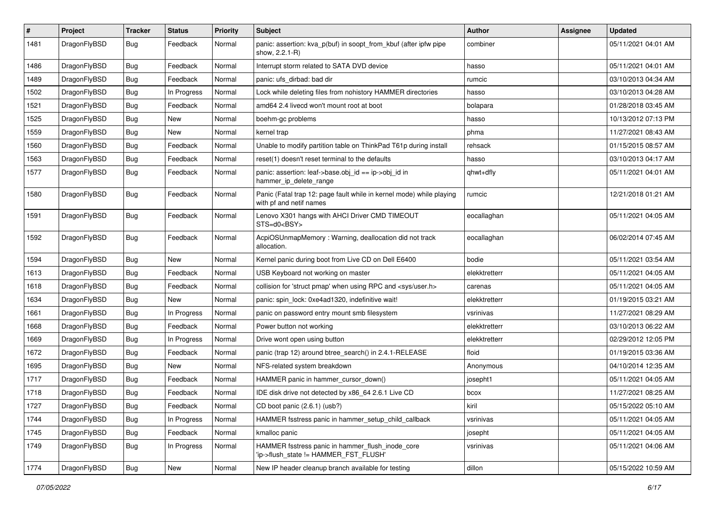| $\pmb{\#}$ | Project      | <b>Tracker</b> | <b>Status</b> | <b>Priority</b> | Subject                                                                                         | Author        | Assignee | <b>Updated</b>      |
|------------|--------------|----------------|---------------|-----------------|-------------------------------------------------------------------------------------------------|---------------|----------|---------------------|
| 1481       | DragonFlyBSD | Bug            | Feedback      | Normal          | panic: assertion: kva_p(buf) in soopt_from_kbuf (after ipfw pipe<br>show, 2.2.1-R)              | combiner      |          | 05/11/2021 04:01 AM |
| 1486       | DragonFlyBSD | <b>Bug</b>     | Feedback      | Normal          | Interrupt storm related to SATA DVD device                                                      | hasso         |          | 05/11/2021 04:01 AM |
| 1489       | DragonFlyBSD | Bug            | Feedback      | Normal          | panic: ufs dirbad: bad dir                                                                      | rumcic        |          | 03/10/2013 04:34 AM |
| 1502       | DragonFlyBSD | <b>Bug</b>     | In Progress   | Normal          | Lock while deleting files from nohistory HAMMER directories                                     | hasso         |          | 03/10/2013 04:28 AM |
| 1521       | DragonFlyBSD | <b>Bug</b>     | Feedback      | Normal          | amd64 2.4 livecd won't mount root at boot                                                       | bolapara      |          | 01/28/2018 03:45 AM |
| 1525       | DragonFlyBSD | Bug            | New           | Normal          | boehm-gc problems                                                                               | hasso         |          | 10/13/2012 07:13 PM |
| 1559       | DragonFlyBSD | <b>Bug</b>     | New           | Normal          | kernel trap                                                                                     | phma          |          | 11/27/2021 08:43 AM |
| 1560       | DragonFlyBSD | Bug            | Feedback      | Normal          | Unable to modify partition table on ThinkPad T61p during install                                | rehsack       |          | 01/15/2015 08:57 AM |
| 1563       | DragonFlyBSD | Bug            | Feedback      | Normal          | reset(1) doesn't reset terminal to the defaults                                                 | hasso         |          | 03/10/2013 04:17 AM |
| 1577       | DragonFlyBSD | Bug            | Feedback      | Normal          | panic: assertion: leaf->base.obj id == ip->obj id in<br>hammer_ip_delete_range                  | qhwt+dfly     |          | 05/11/2021 04:01 AM |
| 1580       | DragonFlyBSD | Bug            | Feedback      | Normal          | Panic (Fatal trap 12: page fault while in kernel mode) while playing<br>with pf and netif names | rumcic        |          | 12/21/2018 01:21 AM |
| 1591       | DragonFlyBSD | Bug            | Feedback      | Normal          | Lenovo X301 hangs with AHCI Driver CMD TIMEOUT<br>STS=d0 <bsy></bsy>                            | eocallaghan   |          | 05/11/2021 04:05 AM |
| 1592       | DragonFlyBSD | Bug            | Feedback      | Normal          | AcpiOSUnmapMemory: Warning, deallocation did not track<br>allocation.                           | eocallaghan   |          | 06/02/2014 07:45 AM |
| 1594       | DragonFlyBSD | Bug            | New           | Normal          | Kernel panic during boot from Live CD on Dell E6400                                             | bodie         |          | 05/11/2021 03:54 AM |
| 1613       | DragonFlyBSD | Bug            | Feedback      | Normal          | USB Keyboard not working on master                                                              | elekktretterr |          | 05/11/2021 04:05 AM |
| 1618       | DragonFlyBSD | <b>Bug</b>     | Feedback      | Normal          | collision for 'struct pmap' when using RPC and <sys user.h=""></sys>                            | carenas       |          | 05/11/2021 04:05 AM |
| 1634       | DragonFlyBSD | <b>Bug</b>     | New           | Normal          | panic: spin lock: 0xe4ad1320, indefinitive wait!                                                | elekktretterr |          | 01/19/2015 03:21 AM |
| 1661       | DragonFlyBSD | Bug            | In Progress   | Normal          | panic on password entry mount smb filesystem                                                    | vsrinivas     |          | 11/27/2021 08:29 AM |
| 1668       | DragonFlyBSD | <b>Bug</b>     | Feedback      | Normal          | Power button not working                                                                        | elekktretterr |          | 03/10/2013 06:22 AM |
| 1669       | DragonFlyBSD | <b>Bug</b>     | In Progress   | Normal          | Drive wont open using button                                                                    | elekktretterr |          | 02/29/2012 12:05 PM |
| 1672       | DragonFlyBSD | Bug            | Feedback      | Normal          | panic (trap 12) around btree_search() in 2.4.1-RELEASE                                          | floid         |          | 01/19/2015 03:36 AM |
| 1695       | DragonFlyBSD | <b>Bug</b>     | New           | Normal          | NFS-related system breakdown                                                                    | Anonymous     |          | 04/10/2014 12:35 AM |
| 1717       | DragonFlyBSD | Bug            | Feedback      | Normal          | HAMMER panic in hammer_cursor_down()                                                            | josepht1      |          | 05/11/2021 04:05 AM |
| 1718       | DragonFlyBSD | Bug            | Feedback      | Normal          | IDE disk drive not detected by x86 64 2.6.1 Live CD                                             | bcox          |          | 11/27/2021 08:25 AM |
| 1727       | DragonFlyBSD | Bug            | Feedback      | Normal          | CD boot panic (2.6.1) (usb?)                                                                    | kiril         |          | 05/15/2022 05:10 AM |
| 1744       | DragonFlyBSD | <b>Bug</b>     | In Progress   | Normal          | HAMMER fsstress panic in hammer_setup_child_callback                                            | vsrinivas     |          | 05/11/2021 04:05 AM |
| 1745       | DragonFlyBSD | <b>Bug</b>     | Feedback      | Normal          | kmalloc panic                                                                                   | josepht       |          | 05/11/2021 04:05 AM |
| 1749       | DragonFlyBSD | Bug            | In Progress   | Normal          | HAMMER fsstress panic in hammer flush inode core<br>'ip->flush_state != HAMMER_FST_FLUSH'       | vsrinivas     |          | 05/11/2021 04:06 AM |
| 1774       | DragonFlyBSD | <b>Bug</b>     | New           | Normal          | New IP header cleanup branch available for testing                                              | dillon        |          | 05/15/2022 10:59 AM |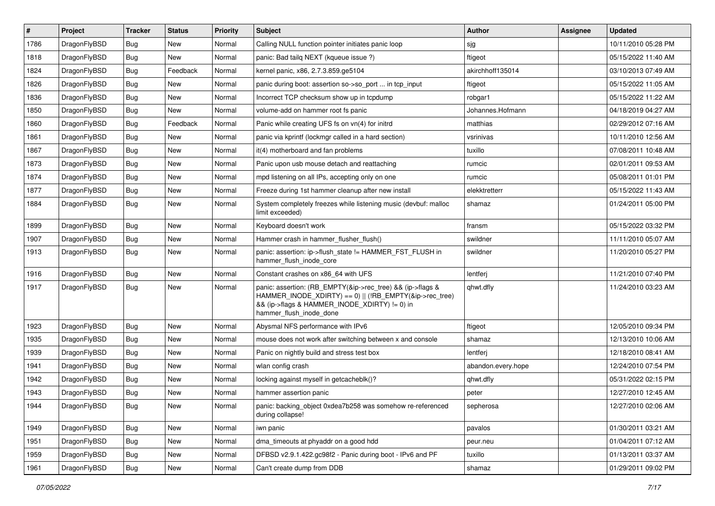| $\vert$ # | Project      | <b>Tracker</b> | <b>Status</b> | <b>Priority</b> | Subject                                                                                                                                                                                           | Author             | Assignee | <b>Updated</b>      |
|-----------|--------------|----------------|---------------|-----------------|---------------------------------------------------------------------------------------------------------------------------------------------------------------------------------------------------|--------------------|----------|---------------------|
| 1786      | DragonFlyBSD | <b>Bug</b>     | <b>New</b>    | Normal          | Calling NULL function pointer initiates panic loop                                                                                                                                                | sjg                |          | 10/11/2010 05:28 PM |
| 1818      | DragonFlyBSD | <b>Bug</b>     | <b>New</b>    | Normal          | panic: Bad tailg NEXT (kqueue issue ?)                                                                                                                                                            | ftigeot            |          | 05/15/2022 11:40 AM |
| 1824      | DragonFlyBSD | Bug            | Feedback      | Normal          | kernel panic, x86, 2.7.3.859.ge5104                                                                                                                                                               | akirchhoff135014   |          | 03/10/2013 07:49 AM |
| 1826      | DragonFlyBSD | Bug            | <b>New</b>    | Normal          | panic during boot: assertion so->so_port  in tcp_input                                                                                                                                            | ftigeot            |          | 05/15/2022 11:05 AM |
| 1836      | DragonFlyBSD | Bug            | <b>New</b>    | Normal          | Incorrect TCP checksum show up in tcpdump                                                                                                                                                         | robgar1            |          | 05/15/2022 11:22 AM |
| 1850      | DragonFlyBSD | <b>Bug</b>     | New           | Normal          | volume-add on hammer root fs panic                                                                                                                                                                | Johannes.Hofmann   |          | 04/18/2019 04:27 AM |
| 1860      | DragonFlyBSD | Bug            | Feedback      | Normal          | Panic while creating UFS fs on vn(4) for initrd                                                                                                                                                   | matthias           |          | 02/29/2012 07:16 AM |
| 1861      | DragonFlyBSD | <b>Bug</b>     | <b>New</b>    | Normal          | panic via kprintf (lockmgr called in a hard section)                                                                                                                                              | vsrinivas          |          | 10/11/2010 12:56 AM |
| 1867      | DragonFlyBSD | Bug            | New           | Normal          | it(4) motherboard and fan problems                                                                                                                                                                | tuxillo            |          | 07/08/2011 10:48 AM |
| 1873      | DragonFlyBSD | <b>Bug</b>     | <b>New</b>    | Normal          | Panic upon usb mouse detach and reattaching                                                                                                                                                       | rumcic             |          | 02/01/2011 09:53 AM |
| 1874      | DragonFlyBSD | <b>Bug</b>     | <b>New</b>    | Normal          | mpd listening on all IPs, accepting only on one                                                                                                                                                   | rumcic             |          | 05/08/2011 01:01 PM |
| 1877      | DragonFlyBSD | Bug            | <b>New</b>    | Normal          | Freeze during 1st hammer cleanup after new install                                                                                                                                                | elekktretterr      |          | 05/15/2022 11:43 AM |
| 1884      | DragonFlyBSD | Bug            | New           | Normal          | System completely freezes while listening music (devbuf: malloc<br>limit exceeded)                                                                                                                | shamaz             |          | 01/24/2011 05:00 PM |
| 1899      | DragonFlyBSD | <b>Bug</b>     | <b>New</b>    | Normal          | Keyboard doesn't work                                                                                                                                                                             | fransm             |          | 05/15/2022 03:32 PM |
| 1907      | DragonFlyBSD | <b>Bug</b>     | <b>New</b>    | Normal          | Hammer crash in hammer flusher flush()                                                                                                                                                            | swildner           |          | 11/11/2010 05:07 AM |
| 1913      | DragonFlyBSD | Bug            | New           | Normal          | panic: assertion: ip->flush state != HAMMER FST FLUSH in<br>hammer flush inode core                                                                                                               | swildner           |          | 11/20/2010 05:27 PM |
| 1916      | DragonFlyBSD | Bug            | <b>New</b>    | Normal          | Constant crashes on x86 64 with UFS                                                                                                                                                               | lentferj           |          | 11/21/2010 07:40 PM |
| 1917      | DragonFlyBSD | Bug            | <b>New</b>    | Normal          | panic: assertion: (RB_EMPTY(&ip->rec_tree) && (ip->flags &<br>HAMMER INODE_XDIRTY) == 0)    (!RB_EMPTY(&ip->rec_tree)<br>&& (ip->flags & HAMMER_INODE_XDIRTY) != 0) in<br>hammer_flush_inode_done | qhwt.dfly          |          | 11/24/2010 03:23 AM |
| 1923      | DragonFlyBSD | <b>Bug</b>     | <b>New</b>    | Normal          | Abysmal NFS performance with IPv6                                                                                                                                                                 | ftigeot            |          | 12/05/2010 09:34 PM |
| 1935      | DragonFlyBSD | Bug            | <b>New</b>    | Normal          | mouse does not work after switching between x and console                                                                                                                                         | shamaz             |          | 12/13/2010 10:06 AM |
| 1939      | DragonFlyBSD | Bug            | <b>New</b>    | Normal          | Panic on nightly build and stress test box                                                                                                                                                        | lentferi           |          | 12/18/2010 08:41 AM |
| 1941      | DragonFlyBSD | Bug            | <b>New</b>    | Normal          | wlan config crash                                                                                                                                                                                 | abandon.every.hope |          | 12/24/2010 07:54 PM |
| 1942      | DragonFlyBSD | Bug            | <b>New</b>    | Normal          | locking against myself in getcacheblk()?                                                                                                                                                          | qhwt.dfly          |          | 05/31/2022 02:15 PM |
| 1943      | DragonFlyBSD | <b>Bug</b>     | <b>New</b>    | Normal          | hammer assertion panic                                                                                                                                                                            | peter              |          | 12/27/2010 12:45 AM |
| 1944      | DragonFlyBSD | Bug            | New           | Normal          | panic: backing_object 0xdea7b258 was somehow re-referenced<br>during collapse!                                                                                                                    | sepherosa          |          | 12/27/2010 02:06 AM |
| 1949      | DragonFlyBSD | <b>Bug</b>     | New           | Normal          | iwn panic                                                                                                                                                                                         | pavalos            |          | 01/30/2011 03:21 AM |
| 1951      | DragonFlyBSD | <b>Bug</b>     | New           | Normal          | dma_timeouts at phyaddr on a good hdd                                                                                                                                                             | peur.neu           |          | 01/04/2011 07:12 AM |
| 1959      | DragonFlyBSD | <b>Bug</b>     | New           | Normal          | DFBSD v2.9.1.422.gc98f2 - Panic during boot - IPv6 and PF                                                                                                                                         | tuxillo            |          | 01/13/2011 03:37 AM |
| 1961      | DragonFlyBSD | <b>Bug</b>     | New           | Normal          | Can't create dump from DDB                                                                                                                                                                        | shamaz             |          | 01/29/2011 09:02 PM |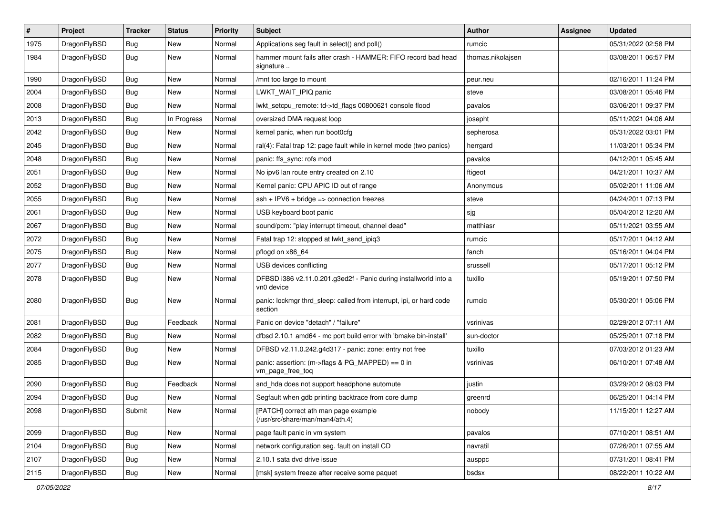| $\pmb{\#}$ | Project      | <b>Tracker</b> | <b>Status</b> | <b>Priority</b> | Subject                                                                        | <b>Author</b>     | Assignee | <b>Updated</b>      |
|------------|--------------|----------------|---------------|-----------------|--------------------------------------------------------------------------------|-------------------|----------|---------------------|
| 1975       | DragonFlyBSD | Bug            | New           | Normal          | Applications seg fault in select() and poll()                                  | rumcic            |          | 05/31/2022 02:58 PM |
| 1984       | DragonFlyBSD | Bug            | New           | Normal          | hammer mount fails after crash - HAMMER: FIFO record bad head<br>signature     | thomas.nikolajsen |          | 03/08/2011 06:57 PM |
| 1990       | DragonFlyBSD | Bug            | <b>New</b>    | Normal          | /mnt too large to mount                                                        | peur.neu          |          | 02/16/2011 11:24 PM |
| 2004       | DragonFlyBSD | <b>Bug</b>     | <b>New</b>    | Normal          | LWKT_WAIT_IPIQ panic                                                           | steve             |          | 03/08/2011 05:46 PM |
| 2008       | DragonFlyBSD | <b>Bug</b>     | New           | Normal          | lwkt setcpu remote: td->td flags 00800621 console flood                        | pavalos           |          | 03/06/2011 09:37 PM |
| 2013       | DragonFlyBSD | Bug            | In Progress   | Normal          | oversized DMA request loop                                                     | josepht           |          | 05/11/2021 04:06 AM |
| 2042       | DragonFlyBSD | Bug            | New           | Normal          | kernel panic, when run boot0cfg                                                | sepherosa         |          | 05/31/2022 03:01 PM |
| 2045       | DragonFlyBSD | Bug            | <b>New</b>    | Normal          | ral(4): Fatal trap 12: page fault while in kernel mode (two panics)            | herrgard          |          | 11/03/2011 05:34 PM |
| 2048       | DragonFlyBSD | Bug            | <b>New</b>    | Normal          | panic: ffs_sync: rofs mod                                                      | pavalos           |          | 04/12/2011 05:45 AM |
| 2051       | DragonFlyBSD | <b>Bug</b>     | New           | Normal          | No ipv6 lan route entry created on 2.10                                        | ftigeot           |          | 04/21/2011 10:37 AM |
| 2052       | DragonFlyBSD | <b>Bug</b>     | <b>New</b>    | Normal          | Kernel panic: CPU APIC ID out of range                                         | Anonymous         |          | 05/02/2011 11:06 AM |
| 2055       | DragonFlyBSD | Bug            | New           | Normal          | $ssh + IPV6 + bridge \Rightarrow connection freezes$                           | steve             |          | 04/24/2011 07:13 PM |
| 2061       | DragonFlyBSD | Bug            | <b>New</b>    | Normal          | USB keyboard boot panic                                                        | sjg               |          | 05/04/2012 12:20 AM |
| 2067       | DragonFlyBSD | Bug            | New           | Normal          | sound/pcm: "play interrupt timeout, channel dead"                              | matthiasr         |          | 05/11/2021 03:55 AM |
| 2072       | DragonFlyBSD | <b>Bug</b>     | New           | Normal          | Fatal trap 12: stopped at lwkt_send_ipiq3                                      | rumcic            |          | 05/17/2011 04:12 AM |
| 2075       | DragonFlyBSD | Bug            | New           | Normal          | pflogd on x86 64                                                               | fanch             |          | 05/16/2011 04:04 PM |
| 2077       | DragonFlyBSD | <b>Bug</b>     | <b>New</b>    | Normal          | USB devices conflicting                                                        | srussell          |          | 05/17/2011 05:12 PM |
| 2078       | DragonFlyBSD | Bug            | New           | Normal          | DFBSD i386 v2.11.0.201.g3ed2f - Panic during installworld into a<br>vn0 device | tuxillo           |          | 05/19/2011 07:50 PM |
| 2080       | DragonFlyBSD | Bug            | New           | Normal          | panic: lockmgr thrd_sleep: called from interrupt, ipi, or hard code<br>section | rumcic            |          | 05/30/2011 05:06 PM |
| 2081       | DragonFlyBSD | Bug            | Feedback      | Normal          | Panic on device "detach" / "failure"                                           | vsrinivas         |          | 02/29/2012 07:11 AM |
| 2082       | DragonFlyBSD | Bug            | New           | Normal          | dfbsd 2.10.1 amd64 - mc port build error with 'bmake bin-install'              | sun-doctor        |          | 05/25/2011 07:18 PM |
| 2084       | DragonFlyBSD | Bug            | New           | Normal          | DFBSD v2.11.0.242.g4d317 - panic: zone: entry not free                         | tuxillo           |          | 07/03/2012 01:23 AM |
| 2085       | DragonFlyBSD | Bug            | New           | Normal          | panic: assertion: (m->flags & PG_MAPPED) == 0 in<br>vm_page_free_toq           | vsrinivas         |          | 06/10/2011 07:48 AM |
| 2090       | DragonFlyBSD | Bug            | Feedback      | Normal          | snd_hda does not support headphone automute                                    | justin            |          | 03/29/2012 08:03 PM |
| 2094       | DragonFlyBSD | <b>Bug</b>     | New           | Normal          | Segfault when gdb printing backtrace from core dump                            | greenrd           |          | 06/25/2011 04:14 PM |
| 2098       | DragonFlyBSD | Submit         | New           | Normal          | [PATCH] correct ath man page example<br>(/usr/src/share/man/man4/ath.4)        | nobody            |          | 11/15/2011 12:27 AM |
| 2099       | DragonFlyBSD | <b>Bug</b>     | New           | Normal          | page fault panic in vm system                                                  | pavalos           |          | 07/10/2011 08:51 AM |
| 2104       | DragonFlyBSD | Bug            | New           | Normal          | network configuration seg. fault on install CD                                 | navratil          |          | 07/26/2011 07:55 AM |
| 2107       | DragonFlyBSD | Bug            | New           | Normal          | 2.10.1 sata dvd drive issue                                                    | ausppc            |          | 07/31/2011 08:41 PM |
| 2115       | DragonFlyBSD | Bug            | New           | Normal          | [msk] system freeze after receive some paquet                                  | bsdsx             |          | 08/22/2011 10:22 AM |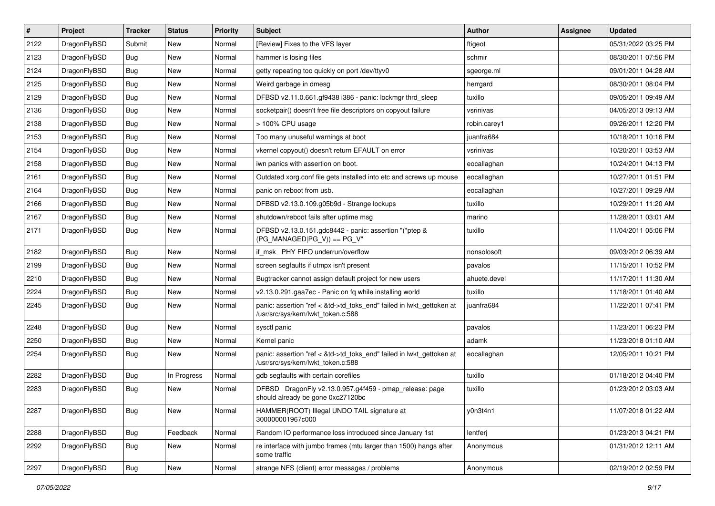| $\pmb{\#}$ | Project      | <b>Tracker</b> | <b>Status</b> | <b>Priority</b> | Subject                                                                                                    | <b>Author</b> | Assignee | <b>Updated</b>      |
|------------|--------------|----------------|---------------|-----------------|------------------------------------------------------------------------------------------------------------|---------------|----------|---------------------|
| 2122       | DragonFlyBSD | Submit         | New           | Normal          | [Review] Fixes to the VFS layer                                                                            | ftigeot       |          | 05/31/2022 03:25 PM |
| 2123       | DragonFlyBSD | Bug            | <b>New</b>    | Normal          | hammer is losing files                                                                                     | schmir        |          | 08/30/2011 07:56 PM |
| 2124       | DragonFlyBSD | Bug            | New           | Normal          | getty repeating too quickly on port /dev/ttyv0                                                             | sgeorge.ml    |          | 09/01/2011 04:28 AM |
| 2125       | DragonFlyBSD | Bug            | New           | Normal          | Weird garbage in dmesg                                                                                     | herrgard      |          | 08/30/2011 08:04 PM |
| 2129       | DragonFlyBSD | Bug            | <b>New</b>    | Normal          | DFBSD v2.11.0.661.gf9438 i386 - panic: lockmgr thrd_sleep                                                  | tuxillo       |          | 09/05/2011 09:49 AM |
| 2136       | DragonFlyBSD | Bug            | New           | Normal          | socketpair() doesn't free file descriptors on copyout failure                                              | vsrinivas     |          | 04/05/2013 09:13 AM |
| 2138       | DragonFlyBSD | Bug            | <b>New</b>    | Normal          | > 100% CPU usage                                                                                           | robin.carey1  |          | 09/26/2011 12:20 PM |
| 2153       | DragonFlyBSD | Bug            | <b>New</b>    | Normal          | Too many unuseful warnings at boot                                                                         | juanfra684    |          | 10/18/2011 10:16 PM |
| 2154       | DragonFlyBSD | Bug            | <b>New</b>    | Normal          | vkernel copyout() doesn't return EFAULT on error                                                           | vsrinivas     |          | 10/20/2011 03:53 AM |
| 2158       | DragonFlyBSD | Bug            | <b>New</b>    | Normal          | iwn panics with assertion on boot.                                                                         | eocallaghan   |          | 10/24/2011 04:13 PM |
| 2161       | DragonFlyBSD | Bug            | New           | Normal          | Outdated xorg.conf file gets installed into etc and screws up mouse                                        | eocallaghan   |          | 10/27/2011 01:51 PM |
| 2164       | DragonFlyBSD | Bug            | <b>New</b>    | Normal          | panic on reboot from usb.                                                                                  | eocallaghan   |          | 10/27/2011 09:29 AM |
| 2166       | DragonFlyBSD | Bug            | New           | Normal          | DFBSD v2.13.0.109.g05b9d - Strange lockups                                                                 | tuxillo       |          | 10/29/2011 11:20 AM |
| 2167       | DragonFlyBSD | Bug            | <b>New</b>    | Normal          | shutdown/reboot fails after uptime msq                                                                     | marino        |          | 11/28/2011 03:01 AM |
| 2171       | DragonFlyBSD | Bug            | New           | Normal          | DFBSD v2.13.0.151.gdc8442 - panic: assertion "(*ptep &<br>$(PG_MANAGED PG_V)$ == PG_V"                     | tuxillo       |          | 11/04/2011 05:06 PM |
| 2182       | DragonFlyBSD | Bug            | <b>New</b>    | Normal          | if msk PHY FIFO underrun/overflow                                                                          | nonsolosoft   |          | 09/03/2012 06:39 AM |
| 2199       | DragonFlyBSD | Bug            | <b>New</b>    | Normal          | screen segfaults if utmpx isn't present                                                                    | pavalos       |          | 11/15/2011 10:52 PM |
| 2210       | DragonFlyBSD | Bug            | New           | Normal          | Bugtracker cannot assign default project for new users                                                     | ahuete.devel  |          | 11/17/2011 11:30 AM |
| 2224       | DragonFlyBSD | Bug            | New           | Normal          | v2.13.0.291.gaa7ec - Panic on fq while installing world                                                    | tuxillo       |          | 11/18/2011 01:40 AM |
| 2245       | DragonFlyBSD | Bug            | New           | Normal          | panic: assertion "ref < &td->td_toks_end" failed in lwkt_gettoken at<br>/usr/src/sys/kern/lwkt_token.c:588 | juanfra684    |          | 11/22/2011 07:41 PM |
| 2248       | DragonFlyBSD | Bug            | <b>New</b>    | Normal          | sysctl panic                                                                                               | pavalos       |          | 11/23/2011 06:23 PM |
| 2250       | DragonFlyBSD | Bug            | <b>New</b>    | Normal          | Kernel panic                                                                                               | adamk         |          | 11/23/2018 01:10 AM |
| 2254       | DragonFlyBSD | Bug            | New           | Normal          | panic: assertion "ref < &td->td_toks_end" failed in lwkt_gettoken at<br>/usr/src/sys/kern/lwkt_token.c:588 | eocallaghan   |          | 12/05/2011 10:21 PM |
| 2282       | DragonFlyBSD | Bug            | In Progress   | Normal          | gdb segfaults with certain corefiles                                                                       | tuxillo       |          | 01/18/2012 04:40 PM |
| 2283       | DragonFlyBSD | Bug            | <b>New</b>    | Normal          | DFBSD DragonFly v2.13.0.957.g4f459 - pmap_release: page<br>should already be gone 0xc27120bc               | tuxillo       |          | 01/23/2012 03:03 AM |
| 2287       | DragonFlyBSD | <b>Bug</b>     | New           | Normal          | HAMMER(ROOT) Illegal UNDO TAIL signature at<br>300000001967c000                                            | y0n3t4n1      |          | 11/07/2018 01:22 AM |
| 2288       | DragonFlyBSD | Bug            | Feedback      | Normal          | Random IO performance loss introduced since January 1st                                                    | lentferj      |          | 01/23/2013 04:21 PM |
| 2292       | DragonFlyBSD | Bug            | New           | Normal          | re interface with jumbo frames (mtu larger than 1500) hangs after<br>some traffic                          | Anonymous     |          | 01/31/2012 12:11 AM |
| 2297       | DragonFlyBSD | <b>Bug</b>     | New           | Normal          | strange NFS (client) error messages / problems                                                             | Anonymous     |          | 02/19/2012 02:59 PM |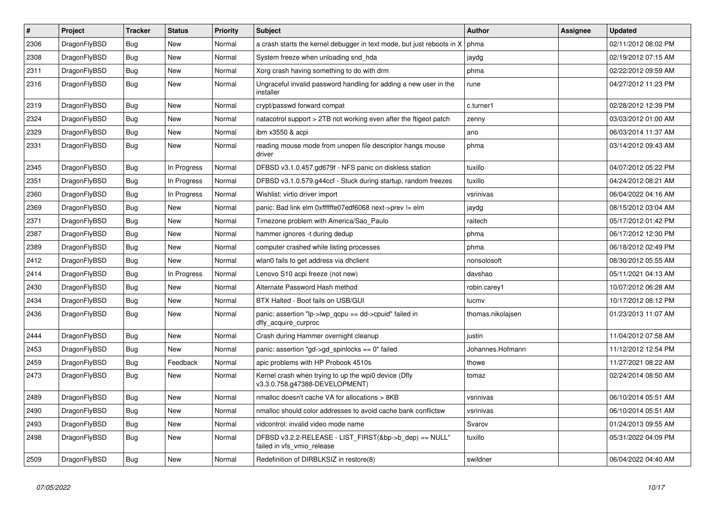| $\vert$ # | <b>Project</b> | <b>Tracker</b> | <b>Status</b> | <b>Priority</b> | <b>Subject</b>                                                                         | Author            | Assignee | <b>Updated</b>      |
|-----------|----------------|----------------|---------------|-----------------|----------------------------------------------------------------------------------------|-------------------|----------|---------------------|
| 2306      | DragonFlyBSD   | Bug            | <b>New</b>    | Normal          | a crash starts the kernel debugger in text mode, but just reboots in X                 | phma              |          | 02/11/2012 08:02 PM |
| 2308      | DragonFlyBSD   | Bug            | New           | Normal          | System freeze when unloading snd hda                                                   | jaydg             |          | 02/19/2012 07:15 AM |
| 2311      | DragonFlyBSD   | <b>Bug</b>     | <b>New</b>    | Normal          | Xorg crash having something to do with drm                                             | phma              |          | 02/22/2012 09:59 AM |
| 2316      | DragonFlyBSD   | Bug            | New           | Normal          | Ungraceful invalid password handling for adding a new user in the<br>installer         | rune              |          | 04/27/2012 11:23 PM |
| 2319      | DragonFlyBSD   | <b>Bug</b>     | <b>New</b>    | Normal          | crypt/passwd forward compat                                                            | c.turner1         |          | 02/28/2012 12:39 PM |
| 2324      | DragonFlyBSD   | Bug            | <b>New</b>    | Normal          | natacotrol support > 2TB not working even after the ftigeot patch                      | zenny             |          | 03/03/2012 01:00 AM |
| 2329      | DragonFlyBSD   | Bug            | New           | Normal          | ibm x3550 & acpi                                                                       | ano               |          | 06/03/2014 11:37 AM |
| 2331      | DragonFlyBSD   | <b>Bug</b>     | New           | Normal          | reading mouse mode from unopen file descriptor hangs mouse<br>driver                   | phma              |          | 03/14/2012 09:43 AM |
| 2345      | DragonFlyBSD   | Bug            | In Progress   | Normal          | DFBSD v3.1.0.457.gd679f - NFS panic on diskless station                                | tuxillo           |          | 04/07/2012 05:22 PM |
| 2351      | DragonFlyBSD   | Bug            | In Progress   | Normal          | DFBSD v3.1.0.579.g44ccf - Stuck during startup, random freezes                         | tuxillo           |          | 04/24/2012 08:21 AM |
| 2360      | DragonFlyBSD   | <b>Bug</b>     | In Progress   | Normal          | Wishlist: virtio driver import                                                         | vsrinivas         |          | 06/04/2022 04:16 AM |
| 2369      | DragonFlyBSD   | Bug            | New           | Normal          | panic: Bad link elm 0xffffffe07edf6068 next->prev != elm                               | jaydg             |          | 08/15/2012 03:04 AM |
| 2371      | DragonFlyBSD   | Bug            | New           | Normal          | Timezone problem with America/Sao Paulo                                                | raitech           |          | 05/17/2012 01:42 PM |
| 2387      | DragonFlyBSD   | Bug            | New           | Normal          | hammer ignores -t during dedup                                                         | phma              |          | 06/17/2012 12:30 PM |
| 2389      | DragonFlyBSD   | <b>Bug</b>     | <b>New</b>    | Normal          | computer crashed while listing processes                                               | phma              |          | 06/18/2012 02:49 PM |
| 2412      | DragonFlyBSD   | Bug            | New           | Normal          | wlan0 fails to get address via dhclient                                                | nonsolosoft       |          | 08/30/2012 05:55 AM |
| 2414      | DragonFlyBSD   | Bug            | In Progress   | Normal          | Lenovo S10 acpi freeze (not new)                                                       | davshao           |          | 05/11/2021 04:13 AM |
| 2430      | DragonFlyBSD   | Bug            | New           | Normal          | Alternate Password Hash method                                                         | robin.carey1      |          | 10/07/2012 06:28 AM |
| 2434      | DragonFlyBSD   | <b>Bug</b>     | New           | Normal          | BTX Halted - Boot fails on USB/GUI                                                     | lucmv             |          | 10/17/2012 08:12 PM |
| 2436      | DragonFlyBSD   | Bug            | <b>New</b>    | Normal          | panic: assertion "lp->lwp_qcpu == dd->cpuid" failed in<br>dfly_acquire_curproc         | thomas.nikolajsen |          | 01/23/2013 11:07 AM |
| 2444      | DragonFlyBSD   | Bug            | <b>New</b>    | Normal          | Crash during Hammer overnight cleanup                                                  | justin            |          | 11/04/2012 07:58 AM |
| 2453      | DragonFlyBSD   | <b>Bug</b>     | New           | Normal          | panic: assertion "gd->gd_spinlocks == 0" failed                                        | Johannes.Hofmann  |          | 11/12/2012 12:54 PM |
| 2459      | DragonFlyBSD   | Bug            | Feedback      | Normal          | apic problems with HP Probook 4510s                                                    | thowe             |          | 11/27/2021 08:22 AM |
| 2473      | DragonFlyBSD   | Bug            | New           | Normal          | Kernel crash when trying to up the wpi0 device (Dfly<br>v3.3.0.758.g47388-DEVELOPMENT) | tomaz             |          | 02/24/2014 08:50 AM |
| 2489      | DragonFlyBSD   | <b>Bug</b>     | <b>New</b>    | Normal          | nmalloc doesn't cache VA for allocations > 8KB                                         | vsrinivas         |          | 06/10/2014 05:51 AM |
| 2490      | DragonFlyBSD   | Bug            | <b>New</b>    | Normal          | nmalloc should color addresses to avoid cache bank conflictsw                          | vsrinivas         |          | 06/10/2014 05:51 AM |
| 2493      | DragonFlyBSD   | <b>Bug</b>     | <b>New</b>    | Normal          | vidcontrol: invalid video mode name                                                    | Svarov            |          | 01/24/2013 09:55 AM |
| 2498      | DragonFlyBSD   | <b>Bug</b>     | <b>New</b>    | Normal          | DFBSD v3.2.2-RELEASE - LIST_FIRST(&bp->b_dep) == NULL"<br>failed in vfs vmio release   | tuxillo           |          | 05/31/2022 04:09 PM |
| 2509      | DragonFlyBSD   | Bug            | <b>New</b>    | Normal          | Redefinition of DIRBLKSIZ in restore(8)                                                | swildner          |          | 06/04/2022 04:40 AM |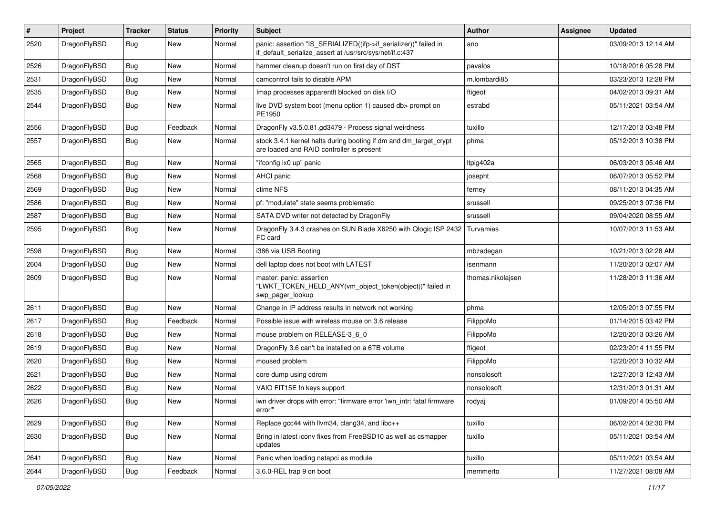| $\sharp$ | Project      | <b>Tracker</b> | <b>Status</b> | <b>Priority</b> | Subject                                                                                                                      | <b>Author</b>     | Assignee | <b>Updated</b>      |
|----------|--------------|----------------|---------------|-----------------|------------------------------------------------------------------------------------------------------------------------------|-------------------|----------|---------------------|
| 2520     | DragonFlyBSD | Bug            | New           | Normal          | panic: assertion "IS_SERIALIZED((ifp->if_serializer))" failed in<br>if_default_serialize_assert at /usr/src/sys/net/if.c:437 | ano               |          | 03/09/2013 12:14 AM |
| 2526     | DragonFlyBSD | Bug            | <b>New</b>    | Normal          | hammer cleanup doesn't run on first day of DST                                                                               | pavalos           |          | 10/18/2016 05:28 PM |
| 2531     | DragonFlyBSD | Bug            | New           | Normal          | camcontrol fails to disable APM                                                                                              | m.lombardi85      |          | 03/23/2013 12:28 PM |
| 2535     | DragonFlyBSD | Bug            | <b>New</b>    | Normal          | Imap processes apparentlt blocked on disk I/O                                                                                | ftigeot           |          | 04/02/2013 09:31 AM |
| 2544     | DragonFlyBSD | Bug            | New           | Normal          | live DVD system boot (menu option 1) caused db> prompt on<br>PE1950                                                          | estrabd           |          | 05/11/2021 03:54 AM |
| 2556     | DragonFlyBSD | Bug            | Feedback      | Normal          | DragonFly v3.5.0.81.gd3479 - Process signal weirdness                                                                        | tuxillo           |          | 12/17/2013 03:48 PM |
| 2557     | DragonFlyBSD | Bug            | <b>New</b>    | Normal          | stock 3.4.1 kernel halts during booting if dm and dm_target_crypt<br>are loaded and RAID controller is present               | phma              |          | 05/12/2013 10:38 PM |
| 2565     | DragonFlyBSD | Bug            | New           | Normal          | "ifconfig ix0 up" panic                                                                                                      | Itpig402a         |          | 06/03/2013 05:46 AM |
| 2568     | DragonFlyBSD | Bug            | <b>New</b>    | Normal          | AHCI panic                                                                                                                   | josepht           |          | 06/07/2013 05:52 PM |
| 2569     | DragonFlyBSD | Bug            | <b>New</b>    | Normal          | ctime NFS                                                                                                                    | ferney            |          | 08/11/2013 04:35 AM |
| 2586     | DragonFlyBSD | Bug            | New           | Normal          | pf: "modulate" state seems problematic                                                                                       | srussell          |          | 09/25/2013 07:36 PM |
| 2587     | DragonFlyBSD | Bug            | New           | Normal          | SATA DVD writer not detected by DragonFly                                                                                    | srussell          |          | 09/04/2020 08:55 AM |
| 2595     | DragonFlyBSD | Bug            | <b>New</b>    | Normal          | DragonFly 3.4.3 crashes on SUN Blade X6250 with Qlogic ISP 2432<br>FC card                                                   | Turvamies         |          | 10/07/2013 11:53 AM |
| 2598     | DragonFlyBSD | Bug            | New           | Normal          | i386 via USB Booting                                                                                                         | mbzadegan         |          | 10/21/2013 02:28 AM |
| 2604     | DragonFlyBSD | Bug            | <b>New</b>    | Normal          | dell laptop does not boot with LATEST                                                                                        | isenmann          |          | 11/20/2013 02:07 AM |
| 2609     | DragonFlyBSD | Bug            | New           | Normal          | master: panic: assertion<br>"LWKT_TOKEN_HELD_ANY(vm_object_token(object))" failed in<br>swp_pager_lookup                     | thomas.nikolajsen |          | 11/28/2013 11:36 AM |
| 2611     | DragonFlyBSD | Bug            | New           | Normal          | Change in IP address results in network not working                                                                          | phma              |          | 12/05/2013 07:55 PM |
| 2617     | DragonFlyBSD | Bug            | Feedback      | Normal          | Possible issue with wireless mouse on 3.6 release                                                                            | FilippoMo         |          | 01/14/2015 03:42 PM |
| 2618     | DragonFlyBSD | Bug            | <b>New</b>    | Normal          | mouse problem on RELEASE-3_6_0                                                                                               | FilippoMo         |          | 12/20/2013 03:26 AM |
| 2619     | DragonFlyBSD | Bug            | New           | Normal          | DragonFly 3.6 can't be installed on a 6TB volume                                                                             | ftigeot           |          | 02/23/2014 11:55 PM |
| 2620     | DragonFlyBSD | Bug            | <b>New</b>    | Normal          | moused problem                                                                                                               | FilippoMo         |          | 12/20/2013 10:32 AM |
| 2621     | DragonFlyBSD | Bug            | New           | Normal          | core dump using cdrom                                                                                                        | nonsolosoft       |          | 12/27/2013 12:43 AM |
| 2622     | DragonFlyBSD | Bug            | <b>New</b>    | Normal          | VAIO FIT15E fn keys support                                                                                                  | nonsolosoft       |          | 12/31/2013 01:31 AM |
| 2626     | DragonFlyBSD | <b>Bug</b>     | <b>New</b>    | Normal          | iwn driver drops with error: "firmware error 'iwn intr: fatal firmware<br>error""                                            | rodyaj            |          | 01/09/2014 05:50 AM |
| 2629     | DragonFlyBSD | <b>Bug</b>     | <b>New</b>    | Normal          | Replace gcc44 with llvm34, clang34, and libc++                                                                               | tuxillo           |          | 06/02/2014 02:30 PM |
| 2630     | DragonFlyBSD | Bug            | New           | Normal          | Bring in latest iconv fixes from FreeBSD10 as well as csmapper<br>updates                                                    | tuxillo           |          | 05/11/2021 03:54 AM |
| 2641     | DragonFlyBSD | Bug            | New           | Normal          | Panic when loading natapci as module                                                                                         | tuxillo           |          | 05/11/2021 03:54 AM |
| 2644     | DragonFlyBSD | <b>Bug</b>     | Feedback      | Normal          | 3.6.0-REL trap 9 on boot                                                                                                     | memmerto          |          | 11/27/2021 08:08 AM |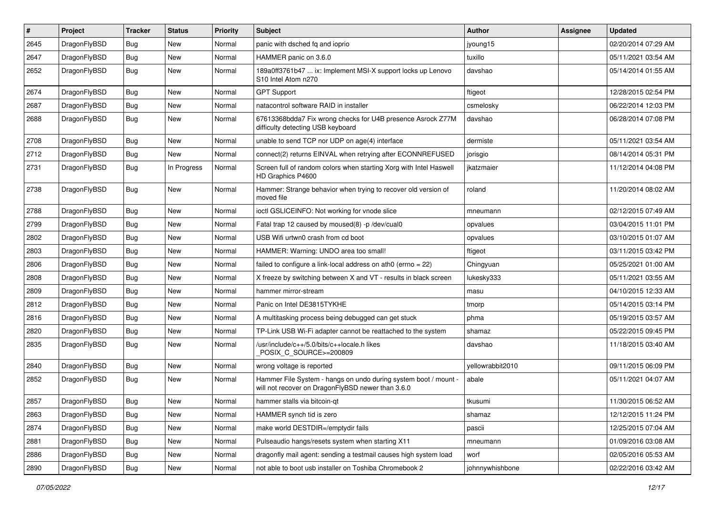| $\sharp$ | Project      | <b>Tracker</b> | <b>Status</b> | <b>Priority</b> | Subject                                                                                                              | <b>Author</b>    | Assignee | <b>Updated</b>      |
|----------|--------------|----------------|---------------|-----------------|----------------------------------------------------------------------------------------------------------------------|------------------|----------|---------------------|
| 2645     | DragonFlyBSD | <b>Bug</b>     | <b>New</b>    | Normal          | panic with dsched fq and ioprio                                                                                      | jyoung15         |          | 02/20/2014 07:29 AM |
| 2647     | DragonFlyBSD | <b>Bug</b>     | <b>New</b>    | Normal          | HAMMER panic on 3.6.0                                                                                                | tuxillo          |          | 05/11/2021 03:54 AM |
| 2652     | DragonFlyBSD | <b>Bug</b>     | New           | Normal          | 189a0ff3761b47  ix: Implement MSI-X support locks up Lenovo<br>S10 Intel Atom n270                                   | davshao          |          | 05/14/2014 01:55 AM |
| 2674     | DragonFlyBSD | Bug            | <b>New</b>    | Normal          | <b>GPT Support</b>                                                                                                   | ftigeot          |          | 12/28/2015 02:54 PM |
| 2687     | DragonFlyBSD | <b>Bug</b>     | <b>New</b>    | Normal          | natacontrol software RAID in installer                                                                               | csmelosky        |          | 06/22/2014 12:03 PM |
| 2688     | DragonFlyBSD | <b>Bug</b>     | <b>New</b>    | Normal          | 67613368bdda7 Fix wrong checks for U4B presence Asrock Z77M<br>difficulty detecting USB keyboard                     | davshao          |          | 06/28/2014 07:08 PM |
| 2708     | DragonFlyBSD | <b>Bug</b>     | <b>New</b>    | Normal          | unable to send TCP nor UDP on age(4) interface                                                                       | dermiste         |          | 05/11/2021 03:54 AM |
| 2712     | DragonFlyBSD | <b>Bug</b>     | New           | Normal          | connect(2) returns EINVAL when retrying after ECONNREFUSED                                                           | jorisgio         |          | 08/14/2014 05:31 PM |
| 2731     | DragonFlyBSD | <b>Bug</b>     | In Progress   | Normal          | Screen full of random colors when starting Xorg with Intel Haswell<br>HD Graphics P4600                              | jkatzmaier       |          | 11/12/2014 04:08 PM |
| 2738     | DragonFlyBSD | <b>Bug</b>     | New           | Normal          | Hammer: Strange behavior when trying to recover old version of<br>moved file                                         | roland           |          | 11/20/2014 08:02 AM |
| 2788     | DragonFlyBSD | Bug            | <b>New</b>    | Normal          | ioctl GSLICEINFO: Not working for vnode slice                                                                        | mneumann         |          | 02/12/2015 07:49 AM |
| 2799     | DragonFlyBSD | <b>Bug</b>     | <b>New</b>    | Normal          | Fatal trap 12 caused by moused(8) -p /dev/cual0                                                                      | opvalues         |          | 03/04/2015 11:01 PM |
| 2802     | DragonFlyBSD | <b>Bug</b>     | <b>New</b>    | Normal          | USB Wifi urtwn0 crash from cd boot                                                                                   | opvalues         |          | 03/10/2015 01:07 AM |
| 2803     | DragonFlyBSD | <b>Bug</b>     | <b>New</b>    | Normal          | HAMMER: Warning: UNDO area too small!                                                                                | ftigeot          |          | 03/11/2015 03:42 PM |
| 2806     | DragonFlyBSD | <b>Bug</b>     | <b>New</b>    | Normal          | failed to configure a link-local address on ath0 (errno = 22)                                                        | Chingyuan        |          | 05/25/2021 01:00 AM |
| 2808     | DragonFlyBSD | <b>Bug</b>     | New           | Normal          | X freeze by switching between X and VT - results in black screen                                                     | lukesky333       |          | 05/11/2021 03:55 AM |
| 2809     | DragonFlyBSD | <b>Bug</b>     | <b>New</b>    | Normal          | hammer mirror-stream                                                                                                 | masu             |          | 04/10/2015 12:33 AM |
| 2812     | DragonFlyBSD | <b>Bug</b>     | <b>New</b>    | Normal          | Panic on Intel DE3815TYKHE                                                                                           | tmorp            |          | 05/14/2015 03:14 PM |
| 2816     | DragonFlyBSD | <b>Bug</b>     | <b>New</b>    | Normal          | A multitasking process being debugged can get stuck                                                                  | phma             |          | 05/19/2015 03:57 AM |
| 2820     | DragonFlyBSD | Bug            | <b>New</b>    | Normal          | TP-Link USB Wi-Fi adapter cannot be reattached to the system                                                         | shamaz           |          | 05/22/2015 09:45 PM |
| 2835     | DragonFlyBSD | Bug            | New           | Normal          | /usr/include/c++/5.0/bits/c++locale.h likes<br>POSIX C SOURCE>=200809                                                | davshao          |          | 11/18/2015 03:40 AM |
| 2840     | DragonFlyBSD | <b>Bug</b>     | <b>New</b>    | Normal          | wrong voltage is reported                                                                                            | yellowrabbit2010 |          | 09/11/2015 06:09 PM |
| 2852     | DragonFlyBSD | Bug            | New           | Normal          | Hammer File System - hangs on undo during system boot / mount -<br>will not recover on DragonFlyBSD newer than 3.6.0 | abale            |          | 05/11/2021 04:07 AM |
| 2857     | DragonFlyBSD | <b>Bug</b>     | New           | Normal          | hammer stalls via bitcoin-qt                                                                                         | tkusumi          |          | 11/30/2015 06:52 AM |
| 2863     | DragonFlyBSD | Bug            | New           | Normal          | HAMMER synch tid is zero                                                                                             | shamaz           |          | 12/12/2015 11:24 PM |
| 2874     | DragonFlyBSD | Bug            | New           | Normal          | make world DESTDIR=/emptydir fails                                                                                   | pascii           |          | 12/25/2015 07:04 AM |
| 2881     | DragonFlyBSD | <b>Bug</b>     | New           | Normal          | Pulseaudio hangs/resets system when starting X11                                                                     | mneumann         |          | 01/09/2016 03:08 AM |
| 2886     | DragonFlyBSD | <b>Bug</b>     | New           | Normal          | dragonfly mail agent: sending a testmail causes high system load                                                     | worf             |          | 02/05/2016 05:53 AM |
| 2890     | DragonFlyBSD | <b>Bug</b>     | New           | Normal          | not able to boot usb installer on Toshiba Chromebook 2                                                               | johnnywhishbone  |          | 02/22/2016 03:42 AM |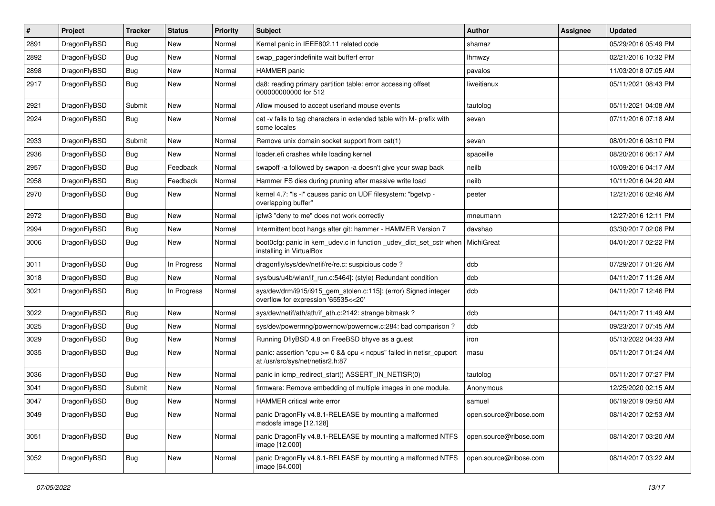| $\pmb{\#}$ | Project      | <b>Tracker</b> | <b>Status</b> | <b>Priority</b> | Subject                                                                                                 | <b>Author</b>          | Assignee | <b>Updated</b>      |
|------------|--------------|----------------|---------------|-----------------|---------------------------------------------------------------------------------------------------------|------------------------|----------|---------------------|
| 2891       | DragonFlyBSD | Bug            | <b>New</b>    | Normal          | Kernel panic in IEEE802.11 related code                                                                 | shamaz                 |          | 05/29/2016 05:49 PM |
| 2892       | DragonFlyBSD | Bug            | <b>New</b>    | Normal          | swap pager:indefinite wait bufferf error                                                                | <b>Ihmwzy</b>          |          | 02/21/2016 10:32 PM |
| 2898       | DragonFlyBSD | <b>Bug</b>     | New           | Normal          | HAMMER panic                                                                                            | pavalos                |          | 11/03/2018 07:05 AM |
| 2917       | DragonFlyBSD | Bug            | New           | Normal          | da8: reading primary partition table: error accessing offset<br>000000000000 for 512                    | liweitianux            |          | 05/11/2021 08:43 PM |
| 2921       | DragonFlyBSD | Submit         | New           | Normal          | Allow moused to accept userland mouse events                                                            | tautolog               |          | 05/11/2021 04:08 AM |
| 2924       | DragonFlyBSD | Bug            | New           | Normal          | cat -v fails to tag characters in extended table with M- prefix with<br>some locales                    | sevan                  |          | 07/11/2016 07:18 AM |
| 2933       | DragonFlyBSD | Submit         | <b>New</b>    | Normal          | Remove unix domain socket support from cat(1)                                                           | sevan                  |          | 08/01/2016 08:10 PM |
| 2936       | DragonFlyBSD | Bug            | New           | Normal          | loader.efi crashes while loading kernel                                                                 | spaceille              |          | 08/20/2016 06:17 AM |
| 2957       | DragonFlyBSD | Bug            | Feedback      | Normal          | swapoff -a followed by swapon -a doesn't give your swap back                                            | neilb                  |          | 10/09/2016 04:17 AM |
| 2958       | DragonFlyBSD | Bug            | Feedback      | Normal          | Hammer FS dies during pruning after massive write load                                                  | neilb                  |          | 10/11/2016 04:20 AM |
| 2970       | DragonFlyBSD | Bug            | New           | Normal          | kernel 4.7: "Is -I" causes panic on UDF filesystem: "bgetvp -<br>overlapping buffer"                    | peeter                 |          | 12/21/2016 02:46 AM |
| 2972       | DragonFlyBSD | Bug            | <b>New</b>    | Normal          | ipfw3 "deny to me" does not work correctly                                                              | mneumann               |          | 12/27/2016 12:11 PM |
| 2994       | DragonFlyBSD | <b>Bug</b>     | <b>New</b>    | Normal          | Intermittent boot hangs after git: hammer - HAMMER Version 7                                            | davshao                |          | 03/30/2017 02:06 PM |
| 3006       | DragonFlyBSD | <b>Bug</b>     | New           | Normal          | boot0cfg: panic in kern_udev.c in function _udev_dict_set_cstr when<br>installing in VirtualBox         | MichiGreat             |          | 04/01/2017 02:22 PM |
| 3011       | DragonFlyBSD | <b>Bug</b>     | In Progress   | Normal          | dragonfly/sys/dev/netif/re/re.c: suspicious code?                                                       | dcb                    |          | 07/29/2017 01:26 AM |
| 3018       | DragonFlyBSD | <b>Bug</b>     | New           | Normal          | sys/bus/u4b/wlan/if_run.c:5464]: (style) Redundant condition                                            | dcb                    |          | 04/11/2017 11:26 AM |
| 3021       | DragonFlyBSD | Bug            | In Progress   | Normal          | sys/dev/drm/i915/i915_gem_stolen.c:115]: (error) Signed integer<br>overflow for expression '65535<<20'  | dcb                    |          | 04/11/2017 12:46 PM |
| 3022       | DragonFlyBSD | Bug            | New           | Normal          | sys/dev/netif/ath/ath/if_ath.c:2142: strange bitmask?                                                   | dcb                    |          | 04/11/2017 11:49 AM |
| 3025       | DragonFlyBSD | <b>Bug</b>     | New           | Normal          | sys/dev/powermng/powernow/powernow.c:284: bad comparison?                                               | dcb                    |          | 09/23/2017 07:45 AM |
| 3029       | DragonFlyBSD | <b>Bug</b>     | <b>New</b>    | Normal          | Running DflyBSD 4.8 on FreeBSD bhyve as a guest                                                         | iron                   |          | 05/13/2022 04:33 AM |
| 3035       | DragonFlyBSD | Bug            | <b>New</b>    | Normal          | panic: assertion "cpu >= 0 && cpu < ncpus" failed in netisr_cpuport<br>at /usr/src/sys/net/netisr2.h:87 | masu                   |          | 05/11/2017 01:24 AM |
| 3036       | DragonFlyBSD | Bug            | <b>New</b>    | Normal          | panic in icmp_redirect_start() ASSERT_IN_NETISR(0)                                                      | tautolog               |          | 05/11/2017 07:27 PM |
| 3041       | DragonFlyBSD | Submit         | <b>New</b>    | Normal          | firmware: Remove embedding of multiple images in one module.                                            | Anonymous              |          | 12/25/2020 02:15 AM |
| 3047       | DragonFlyBSD | Bug            | New           | Normal          | <b>HAMMER</b> critical write error                                                                      | samuel                 |          | 06/19/2019 09:50 AM |
| 3049       | DragonFlyBSD | <b>Bug</b>     | New           | Normal          | panic DragonFly v4.8.1-RELEASE by mounting a malformed<br>msdosfs image [12.128]                        | open.source@ribose.com |          | 08/14/2017 02:53 AM |
| 3051       | DragonFlyBSD | Bug            | New           | Normal          | panic DragonFly v4.8.1-RELEASE by mounting a malformed NTFS<br>image [12.000]                           | open.source@ribose.com |          | 08/14/2017 03:20 AM |
| 3052       | DragonFlyBSD | <b>Bug</b>     | New           | Normal          | panic DragonFly v4.8.1-RELEASE by mounting a malformed NTFS<br>image [64.000]                           | open.source@ribose.com |          | 08/14/2017 03:22 AM |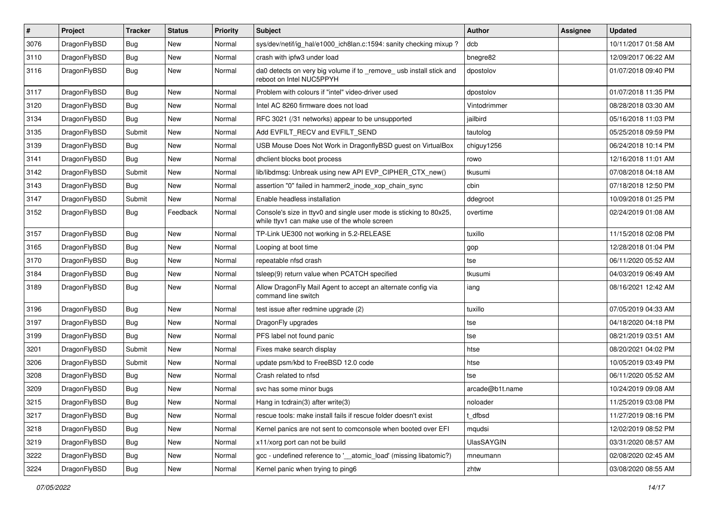| $\sharp$ | Project      | <b>Tracker</b> | <b>Status</b> | <b>Priority</b> | Subject                                                                                                            | Author          | Assignee | <b>Updated</b>      |
|----------|--------------|----------------|---------------|-----------------|--------------------------------------------------------------------------------------------------------------------|-----------------|----------|---------------------|
| 3076     | DragonFlyBSD | Bug            | <b>New</b>    | Normal          | sys/dev/netif/ig_hal/e1000_ich8lan.c:1594: sanity checking mixup ?                                                 | dcb             |          | 10/11/2017 01:58 AM |
| 3110     | DragonFlyBSD | <b>Bug</b>     | <b>New</b>    | Normal          | crash with ipfw3 under load                                                                                        | bnegre82        |          | 12/09/2017 06:22 AM |
| 3116     | DragonFlyBSD | Bug            | <b>New</b>    | Normal          | da0 detects on very big volume if to _remove_ usb install stick and<br>reboot on Intel NUC5PPYH                    | dpostolov       |          | 01/07/2018 09:40 PM |
| 3117     | DragonFlyBSD | <b>Bug</b>     | <b>New</b>    | Normal          | Problem with colours if "intel" video-driver used                                                                  | dpostolov       |          | 01/07/2018 11:35 PM |
| 3120     | DragonFlyBSD | <b>Bug</b>     | <b>New</b>    | Normal          | Intel AC 8260 firmware does not load                                                                               | Vintodrimmer    |          | 08/28/2018 03:30 AM |
| 3134     | DragonFlyBSD | Bug            | <b>New</b>    | Normal          | RFC 3021 (/31 networks) appear to be unsupported                                                                   | jailbird        |          | 05/16/2018 11:03 PM |
| 3135     | DragonFlyBSD | Submit         | <b>New</b>    | Normal          | Add EVFILT_RECV and EVFILT_SEND                                                                                    | tautolog        |          | 05/25/2018 09:59 PM |
| 3139     | DragonFlyBSD | Bug            | New           | Normal          | USB Mouse Does Not Work in DragonflyBSD guest on VirtualBox                                                        | chiguy1256      |          | 06/24/2018 10:14 PM |
| 3141     | DragonFlyBSD | <b>Bug</b>     | <b>New</b>    | Normal          | dhclient blocks boot process                                                                                       | rowo            |          | 12/16/2018 11:01 AM |
| 3142     | DragonFlyBSD | Submit         | <b>New</b>    | Normal          | lib/libdmsg: Unbreak using new API EVP_CIPHER_CTX_new()                                                            | tkusumi         |          | 07/08/2018 04:18 AM |
| 3143     | DragonFlyBSD | Bug            | New           | Normal          | assertion "0" failed in hammer2_inode_xop_chain_sync                                                               | cbin            |          | 07/18/2018 12:50 PM |
| 3147     | DragonFlyBSD | Submit         | <b>New</b>    | Normal          | Enable headless installation                                                                                       | ddegroot        |          | 10/09/2018 01:25 PM |
| 3152     | DragonFlyBSD | Bug            | Feedback      | Normal          | Console's size in ttyv0 and single user mode is sticking to 80x25,<br>while ttyv1 can make use of the whole screen | overtime        |          | 02/24/2019 01:08 AM |
| 3157     | DragonFlyBSD | <b>Bug</b>     | <b>New</b>    | Normal          | TP-Link UE300 not working in 5.2-RELEASE                                                                           | tuxillo         |          | 11/15/2018 02:08 PM |
| 3165     | DragonFlyBSD | <b>Bug</b>     | <b>New</b>    | Normal          | Looping at boot time                                                                                               | gop             |          | 12/28/2018 01:04 PM |
| 3170     | DragonFlyBSD | <b>Bug</b>     | <b>New</b>    | Normal          | repeatable nfsd crash                                                                                              | tse             |          | 06/11/2020 05:52 AM |
| 3184     | DragonFlyBSD | <b>Bug</b>     | New           | Normal          | tsleep(9) return value when PCATCH specified                                                                       | tkusumi         |          | 04/03/2019 06:49 AM |
| 3189     | DragonFlyBSD | Bug            | <b>New</b>    | Normal          | Allow DragonFly Mail Agent to accept an alternate config via<br>command line switch                                | iang            |          | 08/16/2021 12:42 AM |
| 3196     | DragonFlyBSD | <b>Bug</b>     | <b>New</b>    | Normal          | test issue after redmine upgrade (2)                                                                               | tuxillo         |          | 07/05/2019 04:33 AM |
| 3197     | DragonFlyBSD | <b>Bug</b>     | <b>New</b>    | Normal          | DragonFly upgrades                                                                                                 | tse             |          | 04/18/2020 04:18 PM |
| 3199     | DragonFlyBSD | Bug            | New           | Normal          | PFS label not found panic                                                                                          | tse             |          | 08/21/2019 03:51 AM |
| 3201     | DragonFlyBSD | Submit         | New           | Normal          | Fixes make search display                                                                                          | htse            |          | 08/20/2021 04:02 PM |
| 3206     | DragonFlyBSD | Submit         | <b>New</b>    | Normal          | update psm/kbd to FreeBSD 12.0 code                                                                                | htse            |          | 10/05/2019 03:49 PM |
| 3208     | DragonFlyBSD | <b>Bug</b>     | New           | Normal          | Crash related to nfsd                                                                                              | tse             |          | 06/11/2020 05:52 AM |
| 3209     | DragonFlyBSD | <b>Bug</b>     | <b>New</b>    | Normal          | svc has some minor bugs                                                                                            | arcade@b1t.name |          | 10/24/2019 09:08 AM |
| 3215     | DragonFlyBSD | Bug            | New           | Normal          | Hang in tcdrain(3) after write(3)                                                                                  | noloader        |          | 11/25/2019 03:08 PM |
| 3217     | DragonFlyBSD | Bug            | New           | Normal          | rescue tools: make install fails if rescue folder doesn't exist                                                    | t dfbsd         |          | 11/27/2019 08:16 PM |
| 3218     | DragonFlyBSD | Bug            | New           | Normal          | Kernel panics are not sent to comconsole when booted over EFI                                                      | mqudsi          |          | 12/02/2019 08:52 PM |
| 3219     | DragonFlyBSD | Bug            | New           | Normal          | x11/xorg port can not be build                                                                                     | UlasSAYGIN      |          | 03/31/2020 08:57 AM |
| 3222     | DragonFlyBSD | Bug            | New           | Normal          | gcc - undefined reference to '__atomic_load' (missing libatomic?)                                                  | mneumann        |          | 02/08/2020 02:45 AM |
| 3224     | DragonFlyBSD | <b>Bug</b>     | New           | Normal          | Kernel panic when trying to ping6                                                                                  | zhtw            |          | 03/08/2020 08:55 AM |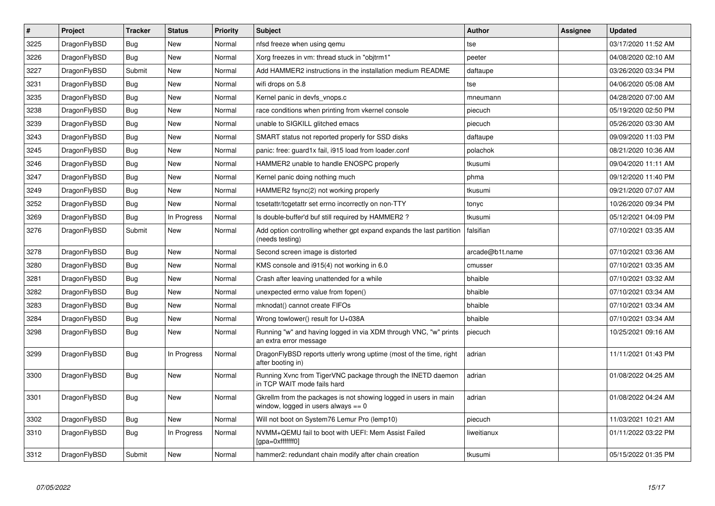| $\pmb{\#}$ | Project      | <b>Tracker</b> | <b>Status</b> | <b>Priority</b> | <b>Subject</b>                                                                                            | Author          | Assignee | <b>Updated</b>      |
|------------|--------------|----------------|---------------|-----------------|-----------------------------------------------------------------------------------------------------------|-----------------|----------|---------------------|
| 3225       | DragonFlyBSD | <b>Bug</b>     | <b>New</b>    | Normal          | nfsd freeze when using gemu                                                                               | tse             |          | 03/17/2020 11:52 AM |
| 3226       | DragonFlyBSD | Bug            | <b>New</b>    | Normal          | Xorg freezes in vm: thread stuck in "objtrm1"                                                             | peeter          |          | 04/08/2020 02:10 AM |
| 3227       | DragonFlyBSD | Submit         | <b>New</b>    | Normal          | Add HAMMER2 instructions in the installation medium README                                                | daftaupe        |          | 03/26/2020 03:34 PM |
| 3231       | DragonFlyBSD | <b>Bug</b>     | <b>New</b>    | Normal          | wifi drops on 5.8                                                                                         | tse             |          | 04/06/2020 05:08 AM |
| 3235       | DragonFlyBSD | Bug            | <b>New</b>    | Normal          | Kernel panic in devfs vnops.c                                                                             | mneumann        |          | 04/28/2020 07:00 AM |
| 3238       | DragonFlyBSD | <b>Bug</b>     | New           | Normal          | race conditions when printing from vkernel console                                                        | piecuch         |          | 05/19/2020 02:50 PM |
| 3239       | DragonFlyBSD | Bug            | New           | Normal          | unable to SIGKILL glitched emacs                                                                          | piecuch         |          | 05/26/2020 03:30 AM |
| 3243       | DragonFlyBSD | <b>Bug</b>     | <b>New</b>    | Normal          | SMART status not reported properly for SSD disks                                                          | daftaupe        |          | 09/09/2020 11:03 PM |
| 3245       | DragonFlyBSD | <b>Bug</b>     | <b>New</b>    | Normal          | panic: free: guard1x fail, i915 load from loader.conf                                                     | polachok        |          | 08/21/2020 10:36 AM |
| 3246       | DragonFlyBSD | Bug            | <b>New</b>    | Normal          | HAMMER2 unable to handle ENOSPC properly                                                                  | tkusumi         |          | 09/04/2020 11:11 AM |
| 3247       | DragonFlyBSD | <b>Bug</b>     | <b>New</b>    | Normal          | Kernel panic doing nothing much                                                                           | phma            |          | 09/12/2020 11:40 PM |
| 3249       | DragonFlyBSD | Bug            | <b>New</b>    | Normal          | HAMMER2 fsync(2) not working properly                                                                     | tkusumi         |          | 09/21/2020 07:07 AM |
| 3252       | DragonFlyBSD | <b>Bug</b>     | <b>New</b>    | Normal          | tcsetattr/tcgetattr set errno incorrectly on non-TTY                                                      | tonyc           |          | 10/26/2020 09:34 PM |
| 3269       | DragonFlyBSD | <b>Bug</b>     | In Progress   | Normal          | Is double-buffer'd buf still required by HAMMER2?                                                         | tkusumi         |          | 05/12/2021 04:09 PM |
| 3276       | DragonFlyBSD | Submit         | <b>New</b>    | Normal          | Add option controlling whether gpt expand expands the last partition<br>(needs testing)                   | falsifian       |          | 07/10/2021 03:35 AM |
| 3278       | DragonFlyBSD | <b>Bug</b>     | <b>New</b>    | Normal          | Second screen image is distorted                                                                          | arcade@b1t.name |          | 07/10/2021 03:36 AM |
| 3280       | DragonFlyBSD | <b>Bug</b>     | <b>New</b>    | Normal          | KMS console and i915(4) not working in 6.0                                                                | cmusser         |          | 07/10/2021 03:35 AM |
| 3281       | DragonFlyBSD | Bug            | <b>New</b>    | Normal          | Crash after leaving unattended for a while                                                                | bhaible         |          | 07/10/2021 03:32 AM |
| 3282       | DragonFlyBSD | <b>Bug</b>     | New           | Normal          | unexpected errno value from fopen()                                                                       | bhaible         |          | 07/10/2021 03:34 AM |
| 3283       | DragonFlyBSD | <b>Bug</b>     | New           | Normal          | mknodat() cannot create FIFOs                                                                             | bhaible         |          | 07/10/2021 03:34 AM |
| 3284       | DragonFlyBSD | <b>Bug</b>     | New           | Normal          | Wrong towlower() result for U+038A                                                                        | bhaible         |          | 07/10/2021 03:34 AM |
| 3298       | DragonFlyBSD | Bug            | <b>New</b>    | Normal          | Running "w" and having logged in via XDM through VNC, "w" prints<br>an extra error message                | piecuch         |          | 10/25/2021 09:16 AM |
| 3299       | DragonFlyBSD | <b>Bug</b>     | In Progress   | Normal          | DragonFlyBSD reports utterly wrong uptime (most of the time, right<br>after booting in)                   | adrian          |          | 11/11/2021 01:43 PM |
| 3300       | DragonFlyBSD | <b>Bug</b>     | <b>New</b>    | Normal          | Running Xvnc from TigerVNC package through the INETD daemon<br>in TCP WAIT mode fails hard                | adrian          |          | 01/08/2022 04:25 AM |
| 3301       | DragonFlyBSD | <b>Bug</b>     | New           | Normal          | Gkrellm from the packages is not showing logged in users in main<br>window, logged in users always $== 0$ | adrian          |          | 01/08/2022 04:24 AM |
| 3302       | DragonFlyBSD | <b>Bug</b>     | <b>New</b>    | Normal          | Will not boot on System76 Lemur Pro (lemp10)                                                              | piecuch         |          | 11/03/2021 10:21 AM |
| 3310       | DragonFlyBSD | Bug            | In Progress   | Normal          | NVMM+QEMU fail to boot with UEFI: Mem Assist Failed<br>[gpa=0xfffffff0]                                   | liweitianux     |          | 01/11/2022 03:22 PM |
| 3312       | DragonFlyBSD | Submit         | <b>New</b>    | Normal          | hammer2: redundant chain modify after chain creation                                                      | tkusumi         |          | 05/15/2022 01:35 PM |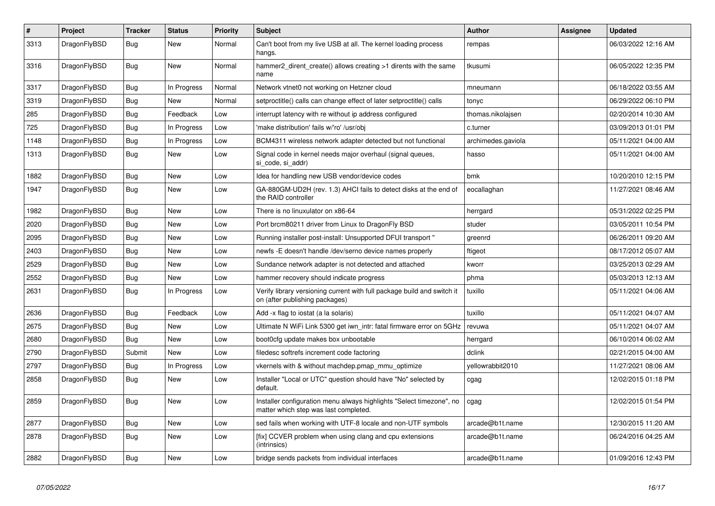| $\vert$ # | <b>Project</b> | <b>Tracker</b> | <b>Status</b> | <b>Priority</b> | <b>Subject</b>                                                                                                | <b>Author</b>      | Assignee | <b>Updated</b>      |
|-----------|----------------|----------------|---------------|-----------------|---------------------------------------------------------------------------------------------------------------|--------------------|----------|---------------------|
| 3313      | DragonFlyBSD   | <b>Bug</b>     | New           | Normal          | Can't boot from my live USB at all. The kernel loading process<br>hangs.                                      | rempas             |          | 06/03/2022 12:16 AM |
| 3316      | DragonFlyBSD   | <b>Bug</b>     | <b>New</b>    | Normal          | hammer2 dirent create() allows creating >1 dirents with the same<br>name                                      | tkusumi            |          | 06/05/2022 12:35 PM |
| 3317      | DragonFlyBSD   | Bug            | In Progress   | Normal          | Network vtnet0 not working on Hetzner cloud                                                                   | mneumann           |          | 06/18/2022 03:55 AM |
| 3319      | DragonFlyBSD   | <b>Bug</b>     | <b>New</b>    | Normal          | setproctitle() calls can change effect of later setproctitle() calls                                          | tonyc              |          | 06/29/2022 06:10 PM |
| 285       | DragonFlyBSD   | <b>Bug</b>     | Feedback      | Low             | interrupt latency with re without ip address configured                                                       | thomas.nikolajsen  |          | 02/20/2014 10:30 AM |
| 725       | DragonFlyBSD   | <b>Bug</b>     | In Progress   | Low             | 'make distribution' fails w/'ro' /usr/obj                                                                     | c.turner           |          | 03/09/2013 01:01 PM |
| 1148      | DragonFlyBSD   | <b>Bug</b>     | In Progress   | Low             | BCM4311 wireless network adapter detected but not functional                                                  | archimedes.gaviola |          | 05/11/2021 04:00 AM |
| 1313      | DragonFlyBSD   | Bug            | New           | Low             | Signal code in kernel needs major overhaul (signal queues,<br>si code, si addr)                               | hasso              |          | 05/11/2021 04:00 AM |
| 1882      | DragonFlyBSD   | <b>Bug</b>     | <b>New</b>    | Low             | Idea for handling new USB vendor/device codes                                                                 | bmk                |          | 10/20/2010 12:15 PM |
| 1947      | DragonFlyBSD   | Bug            | <b>New</b>    | Low             | GA-880GM-UD2H (rev. 1.3) AHCI fails to detect disks at the end of<br>the RAID controller                      | eocallaghan        |          | 11/27/2021 08:46 AM |
| 1982      | DragonFlyBSD   | <b>Bug</b>     | <b>New</b>    | Low             | There is no linuxulator on x86-64                                                                             | herrgard           |          | 05/31/2022 02:25 PM |
| 2020      | DragonFlyBSD   | Bug            | <b>New</b>    | Low             | Port brcm80211 driver from Linux to DragonFly BSD                                                             | studer             |          | 03/05/2011 10:54 PM |
| 2095      | DragonFlyBSD   | <b>Bug</b>     | <b>New</b>    | Low             | Running installer post-install: Unsupported DFUI transport"                                                   | greenrd            |          | 06/26/2011 09:20 AM |
| 2403      | DragonFlyBSD   | <b>Bug</b>     | <b>New</b>    | Low             | newfs -E doesn't handle /dev/serno device names properly                                                      | ftigeot            |          | 08/17/2012 05:07 AM |
| 2529      | DragonFlyBSD   | Bug            | <b>New</b>    | Low             | Sundance network adapter is not detected and attached                                                         | kworr              |          | 03/25/2013 02:29 AM |
| 2552      | DragonFlyBSD   | <b>Bug</b>     | New           | Low             | hammer recovery should indicate progress                                                                      | phma               |          | 05/03/2013 12:13 AM |
| 2631      | DragonFlyBSD   | Bug            | In Progress   | Low             | Verify library versioning current with full package build and switch it<br>on (after publishing packages)     | tuxillo            |          | 05/11/2021 04:06 AM |
| 2636      | DragonFlyBSD   | <b>Bug</b>     | Feedback      | Low             | Add -x flag to iostat (a la solaris)                                                                          | tuxillo            |          | 05/11/2021 04:07 AM |
| 2675      | DragonFlyBSD   | Bug            | <b>New</b>    | Low             | Ultimate N WiFi Link 5300 get iwn intr: fatal firmware error on 5GHz                                          | revuwa             |          | 05/11/2021 04:07 AM |
| 2680      | DragonFlyBSD   | Bug            | New           | Low             | boot0cfg update makes box unbootable                                                                          | herrgard           |          | 06/10/2014 06:02 AM |
| 2790      | DragonFlyBSD   | Submit         | <b>New</b>    | Low             | filedesc softrefs increment code factoring                                                                    | dclink             |          | 02/21/2015 04:00 AM |
| 2797      | DragonFlyBSD   | Bug            | In Progress   | Low             | vkernels with & without machdep.pmap mmu optimize                                                             | yellowrabbit2010   |          | 11/27/2021 08:06 AM |
| 2858      | DragonFlyBSD   | <b>Bug</b>     | New           | Low             | Installer "Local or UTC" question should have "No" selected by<br>default.                                    | cgag               |          | 12/02/2015 01:18 PM |
| 2859      | DragonFlyBSD   | Bug            | <b>New</b>    | Low             | Installer configuration menu always highlights "Select timezone", no<br>matter which step was last completed. | cgag               |          | 12/02/2015 01:54 PM |
| 2877      | DragonFlyBSD   | Bug            | <b>New</b>    | Low             | sed fails when working with UTF-8 locale and non-UTF symbols                                                  | arcade@b1t.name    |          | 12/30/2015 11:20 AM |
| 2878      | DragonFlyBSD   | <b>Bug</b>     | <b>New</b>    | Low             | [fix] CCVER problem when using clang and cpu extensions<br>(intrinsics)                                       | arcade@b1t.name    |          | 06/24/2016 04:25 AM |
| 2882      | DragonFlyBSD   | Bug            | New           | Low             | bridge sends packets from individual interfaces                                                               | arcade@b1t.name    |          | 01/09/2016 12:43 PM |